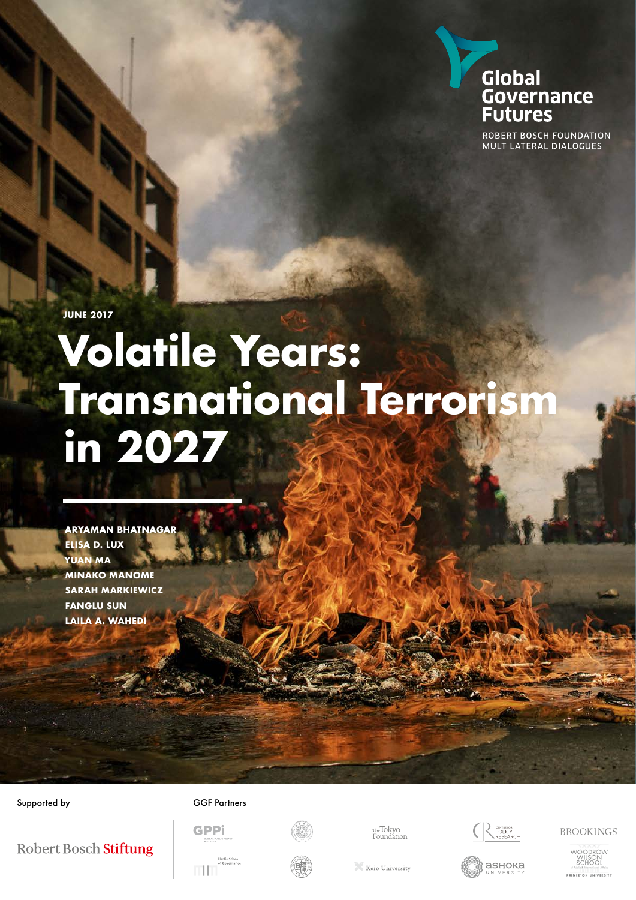

ROBERT BOSCH FOUNDATION MULTILATERAL DIALOGUES

**JUNE 2017**

## **Volatile Years: Transnational Terrorism in 2027**

**ARYAMAN BHATNAGAR ELISA D. LUX YUAN MA MINAKO MANOME SARAH MARKIEWICZ FANGLU SUN LAILA A. WAHEDI**

#### Supported by GGF Partners



<sub>The</sub>Tokyo<br>Foundation



аѕнока

**BROOKINGS** 



Robert Bosch Stiftung



GPPi



Keio University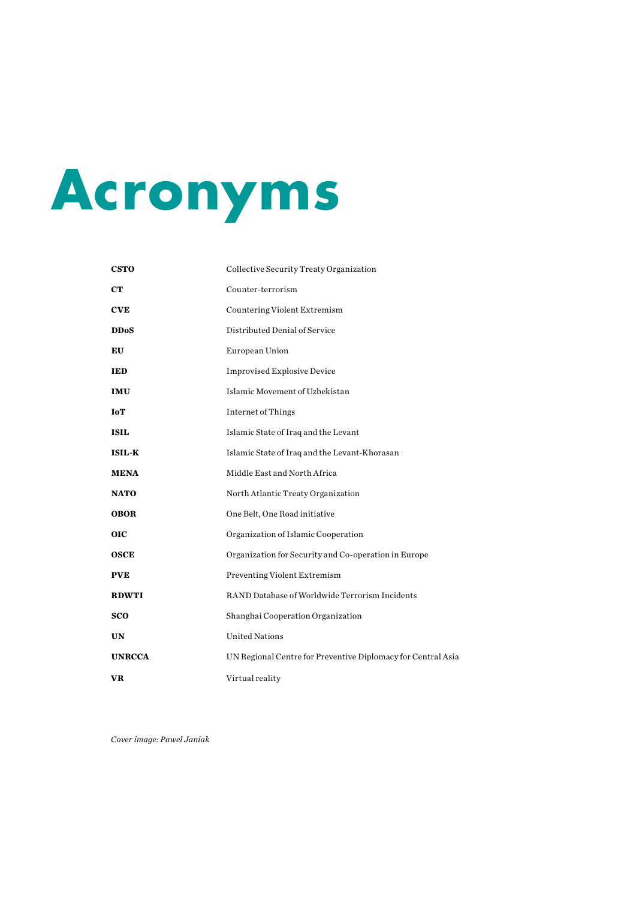## **Acronyms**

| <b>CSTO</b>   | Collective Security Treaty Organization                      |  |  |
|---------------|--------------------------------------------------------------|--|--|
| <b>CT</b>     | Counter-terrorism                                            |  |  |
| <b>CVE</b>    | Countering Violent Extremism                                 |  |  |
| <b>DDoS</b>   | Distributed Denial of Service                                |  |  |
| EU            | European Union                                               |  |  |
| <b>IED</b>    | <b>Improvised Explosive Device</b>                           |  |  |
| <b>IMU</b>    | Islamic Movement of Uzbekistan                               |  |  |
| <b>IoT</b>    | Internet of Things                                           |  |  |
| <b>ISIL</b>   | Islamic State of Iraq and the Levant                         |  |  |
| <b>ISIL-K</b> | Islamic State of Iraq and the Levant-Khorasan                |  |  |
| <b>MENA</b>   | Middle East and North Africa                                 |  |  |
| <b>NATO</b>   | North Atlantic Treaty Organization                           |  |  |
| <b>OBOR</b>   | One Belt, One Road initiative                                |  |  |
| <b>OIC</b>    | Organization of Islamic Cooperation                          |  |  |
| <b>OSCE</b>   | Organization for Security and Co-operation in Europe         |  |  |
| <b>PVE</b>    | Preventing Violent Extremism                                 |  |  |
| <b>RDWTI</b>  | RAND Database of Worldwide Terrorism Incidents               |  |  |
| sco           | Shanghai Cooperation Organization                            |  |  |
| <b>UN</b>     | <b>United Nations</b>                                        |  |  |
| <b>UNRCCA</b> | UN Regional Centre for Preventive Diplomacy for Central Asia |  |  |
| VR.           | Virtual reality                                              |  |  |

*Cover image: Pawel Janiak*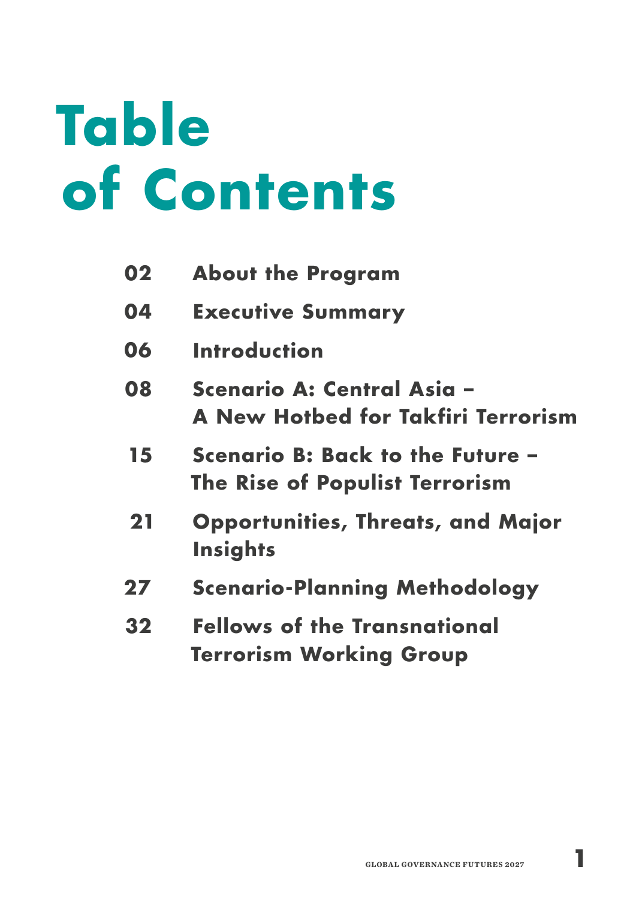## **Table of Contents**

- **About the Program 02**
- **Executive Summary 04**
- **Introduction 06**
- **Scenario A: Central Asia A New Hotbed for Takfiri Terrorism 08**
- **Scenario B: Back to the Future The Rise of Populist Terrorism 15**
- **Opportunities, Threats, and Major Insights 21**
- **Scenario-Planning Methodology 27**
- **Fellows of the Transnational Terrorism Working Group 32**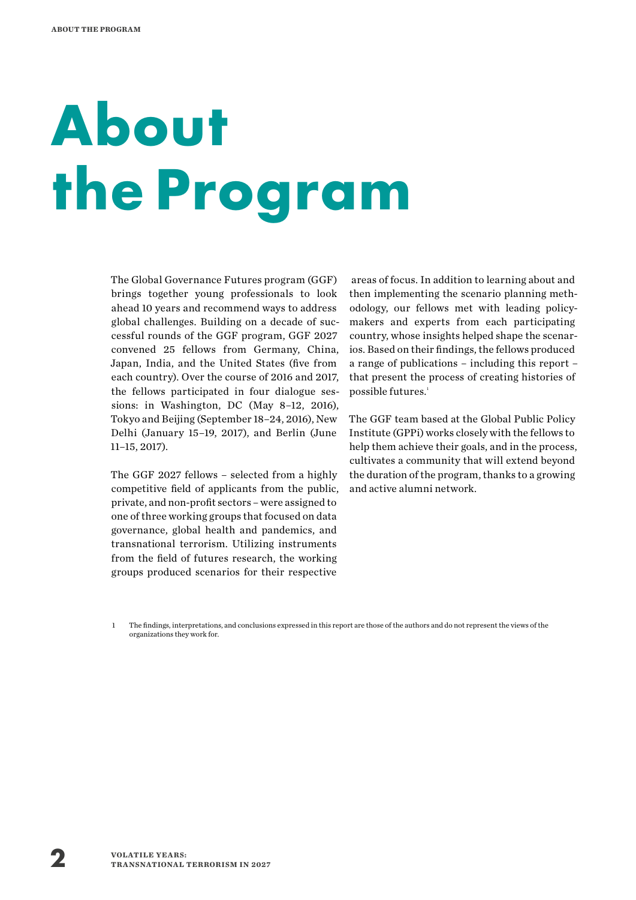## **About the Program**

The Global Governance Futures program (GGF) brings together young professionals to look ahead 10 years and recommend ways to address global challenges. Building on a decade of successful rounds of the GGF program, GGF 2027 convened 25 fellows from Germany, China, Japan, India, and the United States (five from each country). Over the course of 2016 and 2017, the fellows participated in four dialogue sessions: in Washington, DC (May 8–12, 2016), Tokyo and Beijing (September 18–24, 2016), New Delhi (January 15–19, 2017), and Berlin (June 11–15, 2017).

The GGF 2027 fellows – selected from a highly competitive field of applicants from the public, private, and non-profit sectors – were assigned to one of three working groups that focused on data governance, global health and pandemics, and transnational terrorism. Utilizing instruments from the field of futures research, the working groups produced scenarios for their respective

 areas of focus. In addition to learning about and then implementing the scenario planning methodology, our fellows met with leading policymakers and experts from each participating country, whose insights helped shape the scenarios. Based on their findings, the fellows produced a range of publications – including this report – that present the process of creating histories of possible futures.<sup>1</sup>

The GGF team based at the Global Public Policy Institute (GPPi) works closely with the fellows to help them achieve their goals, and in the process, cultivates a community that will extend beyond the duration of the program, thanks to a growing and active alumni network.

1 The findings, interpretations, and conclusions expressed in this report are those of the authors and do not represent the views of the organizations they work for.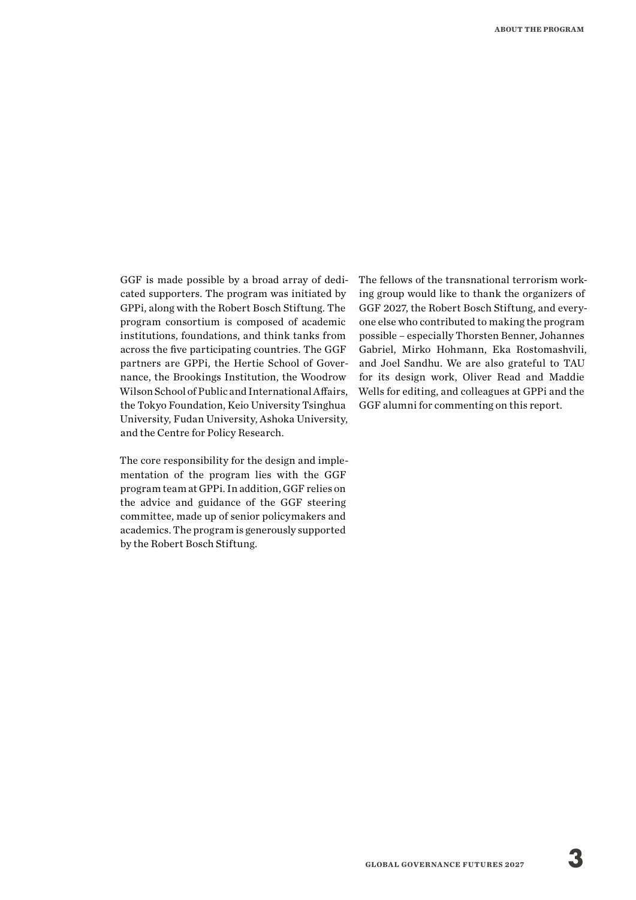GGF is made possible by a broad array of dedicated supporters. The program was initiated by GPPi, along with the Robert Bosch Stiftung. The program consortium is composed of academic institutions, foundations, and think tanks from across the five participating countries. The GGF partners are GPPi, the Hertie School of Governance, the Brookings Institution, the Woodrow Wilson School of Public and International Affairs, the Tokyo Foundation, Keio University Tsinghua University, Fudan University, Ashoka University, and the Centre for Policy Research.

The core responsibility for the design and implementation of the program lies with the GGF program team at GPPi. In addition, GGF relies on the advice and guidance of the GGF steering committee, made up of senior policymakers and academics. The program is generously supported by the Robert Bosch Stiftung.

The fellows of the transnational terrorism working group would like to thank the organizers of GGF 2027, the Robert Bosch Stiftung, and everyone else who contributed to making the program possible – especially Thorsten Benner, Johannes Gabriel, Mirko Hohmann, Eka Rostomashvili, and Joel Sandhu. We are also grateful to TAU for its design work, Oliver Read and Maddie Wells for editing, and colleagues at GPPi and the GGF alumni for commenting on this report.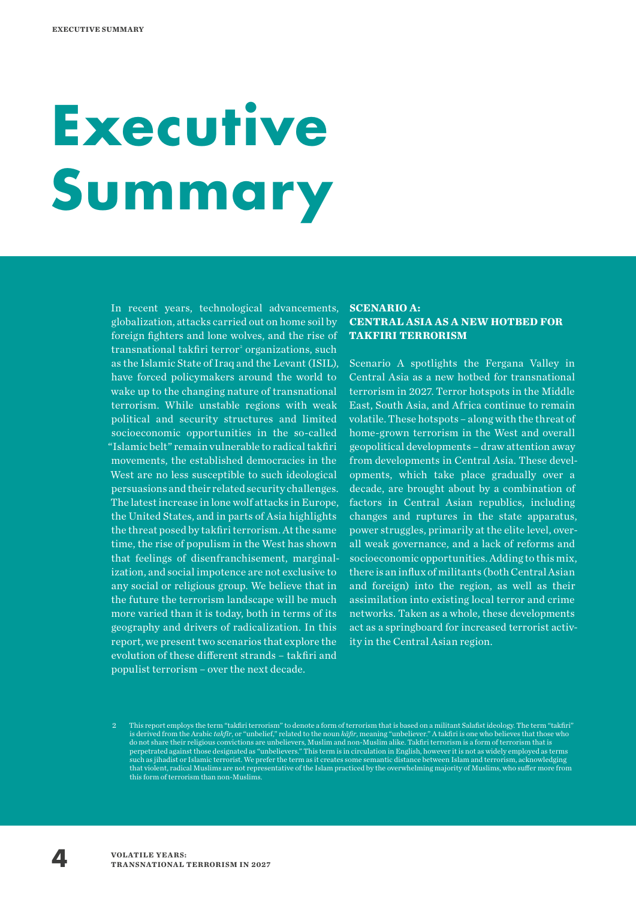## **Executive Summary**

In recent years, technological advancements, globalization, attacks carried out on home soil by foreign fighters and lone wolves, and the rise of transnational takfiri terror<sup>2</sup> organizations, such as the Islamic State of Iraq and the Levant (ISIL), have forced policymakers around the world to wake up to the changing nature of transnational terrorism. While unstable regions with weak political and security structures and limited socioeconomic opportunities in the so-called "Islamic belt" remain vulnerable to radical takfiri movements, the established democracies in the West are no less susceptible to such ideological persuasions and their related security challenges. The latest increase in lone wolf attacks in Europe, the United States, and in parts of Asia highlights the threat posed by takfiri terrorism. At the same time, the rise of populism in the West has shown that feelings of disenfranchisement, marginalization, and social impotence are not exclusive to any social or religious group. We believe that in the future the terrorism landscape will be much more varied than it is today, both in terms of its geography and drivers of radicalization. In this report, we present two scenarios that explore the evolution of these different strands – takfiri and populist terrorism – over the next decade.

#### **SCENARIO A: CENTRAL ASIA AS A NEW HOTBED FOR TAKFIRI TERRORISM**

Scenario A spotlights the Fergana Valley in Central Asia as a new hotbed for transnational terrorism in 2027. Terror hotspots in the Middle East, South Asia, and Africa continue to remain volatile. These hotspots – along with the threat of home-grown terrorism in the West and overall geopolitical developments – draw attention away from developments in Central Asia. These developments, which take place gradually over a decade, are brought about by a combination of factors in Central Asian republics, including changes and ruptures in the state apparatus, power struggles, primarily at the elite level, overall weak governance, and a lack of reforms and socioeconomic opportunities. Adding to this mix, there is an influx of militants (both Central Asian and foreign) into the region, as well as their assimilation into existing local terror and crime networks. Taken as a whole, these developments act as a springboard for increased terrorist activity in the Central Asian region.

<sup>2</sup> This report employs the term "takfiri terrorism" to denote a form of terrorism that is based on a militant Salafist ideology. The term "takfiri" is derived from the Arabic *takfīr*, or "unbelief," related to the noun *kāfir*, meaning "unbeliever." A takfiri is one who believes that those who do not share their religious convictions are unbelievers, Muslim and non-Muslim alike. Takfiri terrorism is a form of terrorism that is perpetrated against those designated as "unbelievers." This term is in circulation in English, however it is not as widely employed as terms such as jihadist or Islamic terrorist. We prefer the term as it creates some semantic distance between Islam and terrorism, acknowledging that violent, radical Muslims are not representative of the Islam practiced by the overwhelming majority of Muslims, who suffer more from this form of terrorism than non-Muslims.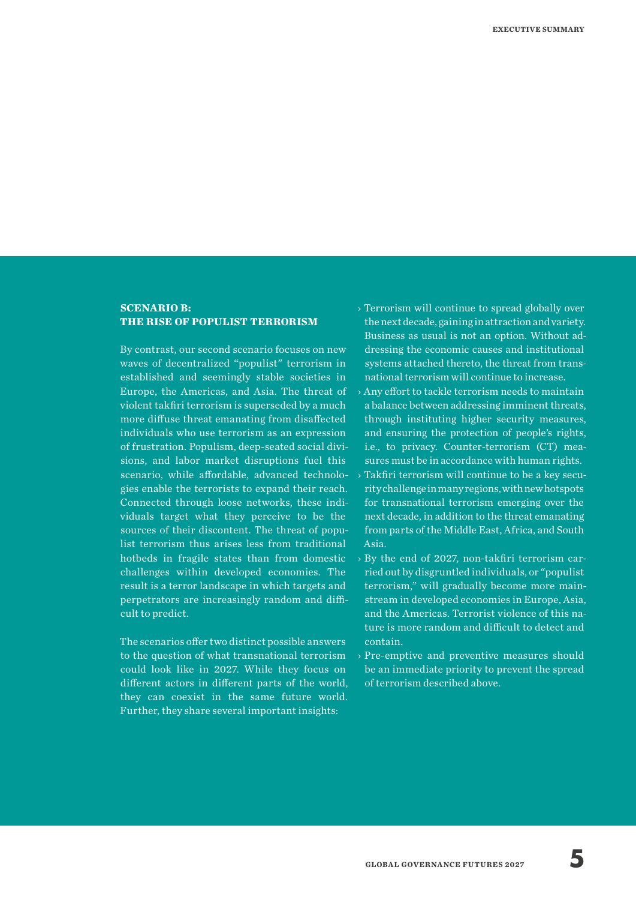#### **SCENARIO B: THE RISE OF POPULIST TERRORISM**

By contrast, our second scenario focuses on new waves of decentralized "populist" terrorism in established and seemingly stable societies in Europe, the Americas, and Asia. The threat of violent takfiri terrorism is superseded by a much more diffuse threat emanating from disaffected individuals who use terrorism as an expression of frustration. Populism, deep-seated social divisions, and labor market disruptions fuel this scenario, while affordable, advanced technologies enable the terrorists to expand their reach. Connected through loose networks, these individuals target what they perceive to be the sources of their discontent. The threat of populist terrorism thus arises less from traditional hotbeds in fragile states than from domestic challenges within developed economies. The result is a terror landscape in which targets and perpetrators are increasingly random and difficult to predict.

The scenarios offer two distinct possible answers to the question of what transnational terrorism could look like in 2027. While they focus on different actors in different parts of the world, they can coexist in the same future world. Further, they share several important insights:

- › Terrorism will continue to spread globally over the next decade, gaining in attraction and variety. Business as usual is not an option. Without addressing the economic causes and institutional systems attached thereto, the threat from transnational terrorism will continue to increase.
- › Any effort to tackle terrorism needs to maintain a balance between addressing imminent threats, through instituting higher security measures, and ensuring the protection of people's rights, i.e., to privacy. Counter-terrorism (CT) measures must be in accordance with human rights.
- › Takfiri terrorism will continue to be a key security challenge in many regions, with new hotspots for transnational terrorism emerging over the next decade, in addition to the threat emanating from parts of the Middle East, Africa, and South Asia.
- › By the end of 2027, non-takfiri terrorism carried out by disgruntled individuals, or "populist terrorism," will gradually become more mainstream in developed economies in Europe, Asia, and the Americas. Terrorist violence of this nature is more random and difficult to detect and contain.
- › Pre-emptive and preventive measures should be an immediate priority to prevent the spread of terrorism described above.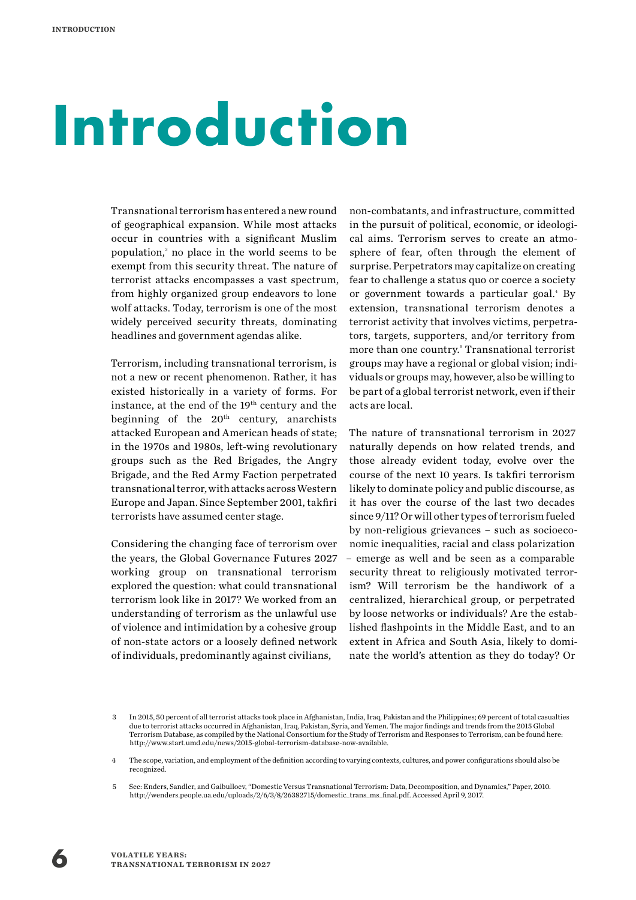## **Introduction**

Transnational terrorism has entered a new round of geographical expansion. While most attacks occur in countries with a significant Muslim population,<sup>3</sup> no place in the world seems to be exempt from this security threat. The nature of terrorist attacks encompasses a vast spectrum, from highly organized group endeavors to lone wolf attacks. Today, terrorism is one of the most widely perceived security threats, dominating headlines and government agendas alike.

Terrorism, including transnational terrorism, is not a new or recent phenomenon. Rather, it has existed historically in a variety of forms. For instance, at the end of the 19<sup>th</sup> century and the beginning of the  $20<sup>th</sup>$  century, anarchists attacked European and American heads of state; in the 1970s and 1980s, left-wing revolutionary groups such as the Red Brigades, the Angry Brigade, and the Red Army Faction perpetrated transnational terror, with attacks across Western Europe and Japan. Since September 2001, takfiri terrorists have assumed center stage.

Considering the changing face of terrorism over the years, the Global Governance Futures 2027 working group on transnational terrorism explored the question: what could transnational terrorism look like in 2017? We worked from an understanding of terrorism as the unlawful use of violence and intimidation by a cohesive group of non-state actors or a loosely defined network of individuals, predominantly against civilians,

non-combatants, and infrastructure, committed in the pursuit of political, economic, or ideological aims. Terrorism serves to create an atmosphere of fear, often through the element of surprise. Perpetrators may capitalize on creating fear to challenge a status quo or coerce a society or government towards a particular goal.<sup>4</sup> By extension, transnational terrorism denotes a terrorist activity that involves victims, perpetrators, targets, supporters, and/or territory from more than one country.<sup>5</sup> Transnational terrorist groups may have a regional or global vision; individuals or groups may, however, also be willing to be part of a global terrorist network, even if their acts are local.

The nature of transnational terrorism in 2027 naturally depends on how related trends, and those already evident today, evolve over the course of the next 10 years. Is takfiri terrorism likely to dominate policy and public discourse, as it has over the course of the last two decades since 9/11? Or will other types of terrorism fueled by non-religious grievances – such as socioeconomic inequalities, racial and class polarization – emerge as well and be seen as a comparable security threat to religiously motivated terrorism? Will terrorism be the handiwork of a centralized, hierarchical group, or perpetrated by loose networks or individuals? Are the established flashpoints in the Middle East, and to an extent in Africa and South Asia, likely to dominate the world's attention as they do today? Or



<sup>3</sup> In 2015, 50 percent of all terrorist attacks took place in Afghanistan, India, Iraq, Pakistan and the Philippines; 69 percent of total casualties due to terrorist attacks occurred in Afghanistan, Iraq, Pakistan, Syria, and Yemen. The major findings and trends from the 2015 Global Terrorism Database, as compiled by the National Consortium for the Study of Terrorism and Responses to Terrorism, can be found here: http://www.start.umd.edu/news/2015-global-terrorism-database-now-available.

<sup>4</sup> The scope, variation, and employment of the definition according to varying contexts, cultures, and power configurations should also be recognized.

<sup>5</sup> See: Enders, Sandler, and Gaibulloev, "Domestic Versus Transnational Terrorism: Data, Decomposition, and Dynamics," Paper, 2010. http://wenders.people.ua.edu/uploads/2/6/3/8/26382715/domestic\_trans\_ms\_final.pdf. Accessed April 9, 2017.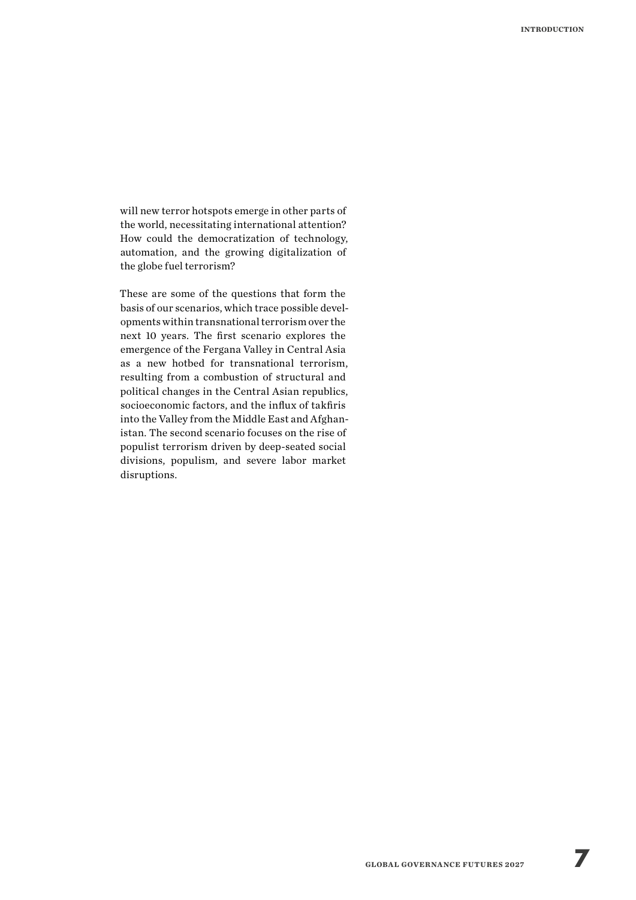will new terror hotspots emerge in other parts of the world, necessitating international attention? How could the democratization of technology, automation, and the growing digitalization of the globe fuel terrorism?

These are some of the questions that form the basis of our scenarios, which trace possible developments within transnational terrorism over the next 10 years. The first scenario explores the emergence of the Fergana Valley in Central Asia as a new hotbed for transnational terrorism, resulting from a combustion of structural and political changes in the Central Asian republics, socioeconomic factors, and the influx of takfiris into the Valley from the Middle East and Afghanistan. The second scenario focuses on the rise of populist terrorism driven by deep-seated social divisions, populism, and severe labor market disruptions.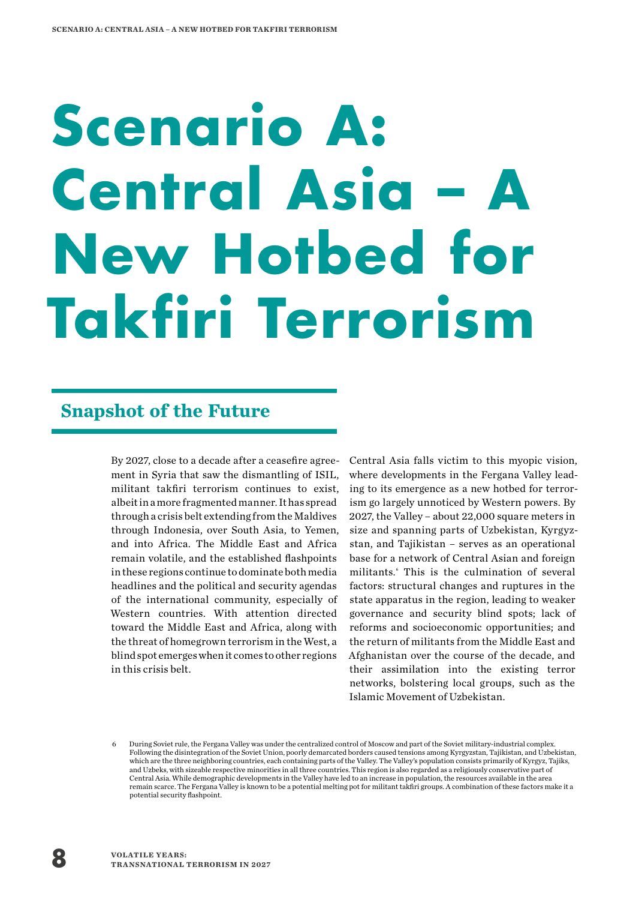## **Scenario A: Central Asia – New Hotbed for Takfiri Terrorism**

### **Snapshot of the Future**

By 2027, close to a decade after a ceasefire agreement in Syria that saw the dismantling of ISIL, militant takfiri terrorism continues to exist, albeit in a more fragmented manner. It has spread through a crisis belt extending from the Maldives through Indonesia, over South Asia, to Yemen, and into Africa. The Middle East and Africa remain volatile, and the established flashpoints in these regions continue to dominate both media headlines and the political and security agendas of the international community, especially of Western countries. With attention directed toward the Middle East and Africa, along with the threat of homegrown terrorism in the West, a blind spot emerges when it comes to other regions in this crisis belt.

Central Asia falls victim to this myopic vision, where developments in the Fergana Valley leading to its emergence as a new hotbed for terrorism go largely unnoticed by Western powers. By 2027, the Valley – about 22,000 square meters in size and spanning parts of Uzbekistan, Kyrgyzstan, and Tajikistan – serves as an operational base for a network of Central Asian and foreign militants.<sup>6</sup> This is the culmination of several factors: structural changes and ruptures in the state apparatus in the region, leading to weaker governance and security blind spots; lack of reforms and socioeconomic opportunities; and the return of militants from the Middle East and Afghanistan over the course of the decade, and their assimilation into the existing terror networks, bolstering local groups, such as the Islamic Movement of Uzbekistan.

<sup>6</sup> During Soviet rule, the Fergana Valley was under the centralized control of Moscow and part of the Soviet military-industrial complex. Following the disintegration of the Soviet Union, poorly demarcated borders caused tensions among Kyrgyzstan, Tajikistan, and Uzbekistan, which are the three neighboring countries, each containing parts of the Valley. The Valley's population consists primarily of Kyrgyz, Tajiks, and Uzbeks, with sizeable respective minorities in all three countries. This region is also regarded as a religiously conservative part of Central Asia. While demographic developments in the Valley have led to an increase in population, the resources available in the area remain scarce. The Fergana Valley is known to be a potential melting pot for militant takfiri groups. A combination of these factors make it a potential security flashpoint.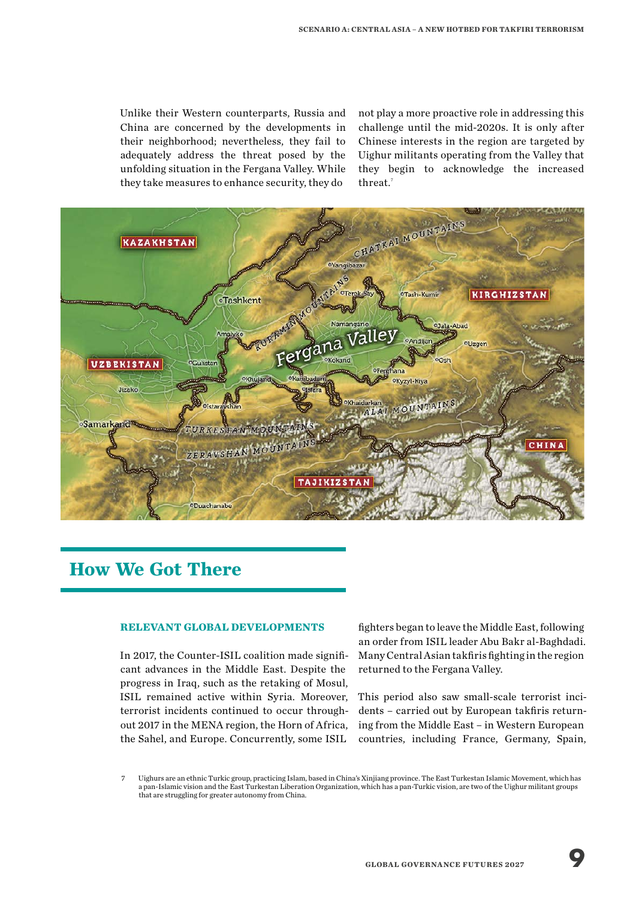Unlike their Western counterparts, Russia and China are concerned by the developments in their neighborhood; nevertheless, they fail to adequately address the threat posed by the unfolding situation in the Fergana Valley. While they take measures to enhance security, they do

not play a more proactive role in addressing this challenge until the mid-2020s. It is only after Chinese interests in the region are targeted by Uighur militants operating from the Valley that they begin to acknowledge the increased threat.<sup>7</sup>



### **How We Got There**

#### **RELEVANT GLOBAL DEVELOPMENTS**

In 2017, the Counter-ISIL coalition made significant advances in the Middle East. Despite the progress in Iraq, such as the retaking of Mosul, ISIL remained active within Syria. Moreover, terrorist incidents continued to occur throughout 2017 in the MENA region, the Horn of Africa, the Sahel, and Europe. Concurrently, some ISIL

fighters began to leave the Middle East, following an order from ISIL leader Abu Bakr al-Baghdadi. Many Central Asian takfiris fighting in the region returned to the Fergana Valley.

This period also saw small-scale terrorist incidents – carried out by European takfiris returning from the Middle East – in Western European countries, including France, Germany, Spain,

<sup>7</sup> Uighurs are an ethnic Turkic group, practicing Islam, based in China's Xinjiang province. The East Turkestan Islamic Movement, which has a pan-Islamic vision and the East Turkestan Liberation Organization, which has a pan-Turkic vision, are two of the Uighur militant groups that are struggling for greater autonomy from China.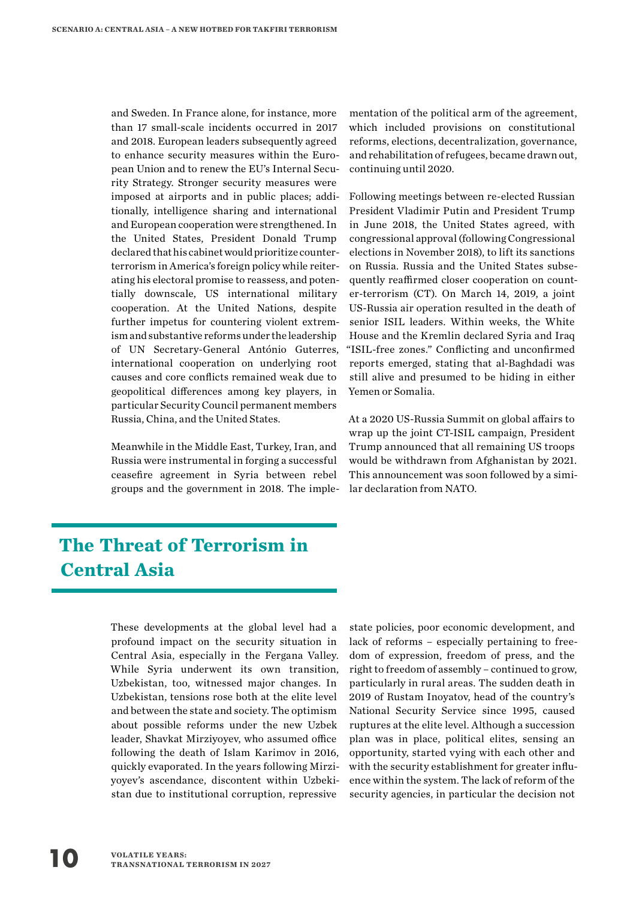and Sweden. In France alone, for instance, more than 17 small-scale incidents occurred in 2017 and 2018. European leaders subsequently agreed to enhance security measures within the European Union and to renew the EU's Internal Security Strategy. Stronger security measures were imposed at airports and in public places; additionally, intelligence sharing and international and European cooperation were strengthened. In the United States, President Donald Trump declared that his cabinet would prioritize counterterrorism in America's foreign policy while reiterating his electoral promise to reassess, and potentially downscale, US international military cooperation. At the United Nations, despite further impetus for countering violent extremism and substantive reforms under the leadership of UN Secretary-General António Guterres, international cooperation on underlying root causes and core conflicts remained weak due to geopolitical differences among key players, in particular Security Council permanent members Russia, China, and the United States.

Meanwhile in the Middle East, Turkey, Iran, and Russia were instrumental in forging a successful ceasefire agreement in Syria between rebel groups and the government in 2018. The implementation of the political arm of the agreement, which included provisions on constitutional reforms, elections, decentralization, governance, and rehabilitation of refugees, became drawn out, continuing until 2020.

Following meetings between re-elected Russian President Vladimir Putin and President Trump in June 2018, the United States agreed, with congressional approval (following Congressional elections in November 2018), to lift its sanctions on Russia. Russia and the United States subsequently reaffirmed closer cooperation on counter-terrorism (CT). On March 14, 2019, a joint US-Russia air operation resulted in the death of senior ISIL leaders. Within weeks, the White House and the Kremlin declared Syria and Iraq "ISIL-free zones." Conflicting and unconfirmed reports emerged, stating that al-Baghdadi was still alive and presumed to be hiding in either Yemen or Somalia.

At a 2020 US-Russia Summit on global affairs to wrap up the joint CT-ISIL campaign, President Trump announced that all remaining US troops would be withdrawn from Afghanistan by 2021. This announcement was soon followed by a similar declaration from NATO.

## **The Threat of Terrorism in Central Asia**

These developments at the global level had a profound impact on the security situation in Central Asia, especially in the Fergana Valley. While Syria underwent its own transition, Uzbekistan, too, witnessed major changes. In Uzbekistan, tensions rose both at the elite level and between the state and society. The optimism about possible reforms under the new Uzbek leader, Shavkat Mirziyoyev, who assumed office following the death of Islam Karimov in 2016, quickly evaporated. In the years following Mirziyoyev's ascendance, discontent within Uzbekistan due to institutional corruption, repressive

state policies, poor economic development, and lack of reforms – especially pertaining to freedom of expression, freedom of press, and the right to freedom of assembly – continued to grow, particularly in rural areas. The sudden death in 2019 of Rustam Inoyatov, head of the country's National Security Service since 1995, caused ruptures at the elite level. Although a succession plan was in place, political elites, sensing an opportunity, started vying with each other and with the security establishment for greater influence within the system. The lack of reform of the security agencies, in particular the decision not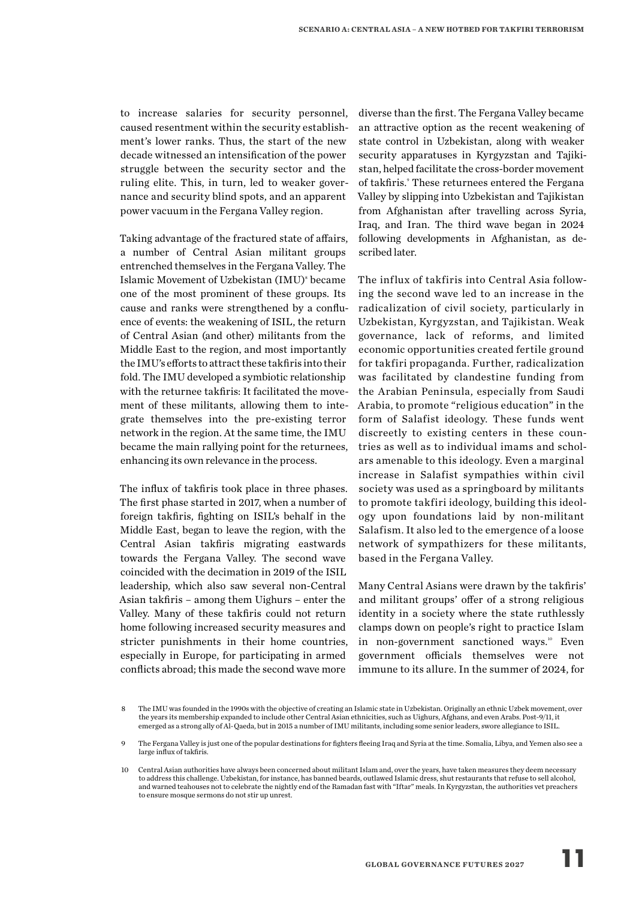to increase salaries for security personnel, caused resentment within the security establishment's lower ranks. Thus, the start of the new decade witnessed an intensification of the power struggle between the security sector and the ruling elite. This, in turn, led to weaker governance and security blind spots, and an apparent power vacuum in the Fergana Valley region.

Taking advantage of the fractured state of affairs, a number of Central Asian militant groups entrenched themselves in the Fergana Valley. The Islamic Movement of Uzbekistan (IMU)<sup>8</sup> became one of the most prominent of these groups. Its cause and ranks were strengthened by a confluence of events: the weakening of ISIL, the return of Central Asian (and other) militants from the Middle East to the region, and most importantly the IMU's efforts to attract these takfiris into their fold. The IMU developed a symbiotic relationship with the returnee takfiris: It facilitated the movement of these militants, allowing them to integrate themselves into the pre-existing terror network in the region. At the same time, the IMU became the main rallying point for the returnees, enhancing its own relevance in the process.

The influx of takfiris took place in three phases. The first phase started in 2017, when a number of foreign takfiris, fighting on ISIL's behalf in the Middle East, began to leave the region, with the Central Asian takfiris migrating eastwards towards the Fergana Valley. The second wave coincided with the decimation in 2019 of the ISIL leadership, which also saw several non-Central Asian takfiris – among them Uighurs – enter the Valley. Many of these takfiris could not return home following increased security measures and stricter punishments in their home countries, especially in Europe, for participating in armed conflicts abroad; this made the second wave more

diverse than the first. The Fergana Valley became an attractive option as the recent weakening of state control in Uzbekistan, along with weaker security apparatuses in Kyrgyzstan and Tajikistan, helped facilitate the cross-border movement of takfiris.<sup>9</sup> These returnees entered the Fergana Valley by slipping into Uzbekistan and Tajikistan from Afghanistan after travelling across Syria, Iraq, and Iran. The third wave began in 2024 following developments in Afghanistan, as described later.

The influx of takfiris into Central Asia following the second wave led to an increase in the radicalization of civil society, particularly in Uzbekistan, Kyrgyzstan, and Tajikistan. Weak governance, lack of reforms, and limited economic opportunities created fertile ground for takfiri propaganda. Further, radicalization was facilitated by clandestine funding from the Arabian Peninsula, especially from Saudi Arabia, to promote "religious education" in the form of Salafist ideology. These funds went discreetly to existing centers in these countries as well as to individual imams and scholars amenable to this ideology. Even a marginal increase in Salafist sympathies within civil society was used as a springboard by militants to promote takfiri ideology, building this ideology upon foundations laid by non-militant Salafism. It also led to the emergence of a loose network of sympathizers for these militants, based in the Fergana Valley.

Many Central Asians were drawn by the takfiris' and militant groups' offer of a strong religious identity in a society where the state ruthlessly clamps down on people's right to practice Islam in non-government sanctioned ways.<sup>10</sup> Even government officials themselves were not immune to its allure. In the summer of 2024, for

<sup>8</sup> The IMU was founded in the 1990s with the objective of creating an Islamic state in Uzbekistan. Originally an ethnic Uzbek movement, over the years its membership expanded to include other Central Asian ethnicities, such as Uighurs, Afghans, and even Arabs. Post-9/11, it emerged as a strong ally of Al-Qaeda, but in 2015 a number of IMU militants, including some senior leaders, swore allegiance to ISIL.

<sup>9</sup> The Fergana Valley is just one of the popular destinations for fighters fleeing Iraq and Syria at the time. Somalia, Libya, and Yemen also see a large influx of takfiris.

<sup>10</sup> Central Asian authorities have always been concerned about militant Islam and, over the years, have taken measures they deem necessary to address this challenge. Uzbekistan, for instance, has banned beards, outlawed Islamic dress, shut restaurants that refuse to sell alcohol, and warned teahouses not to celebrate the nightly end of the Ramadan fast with "Iftar" meals. In Kyrgyzstan, the authorities vet preachers to ensure mosque sermons do not stir up unrest.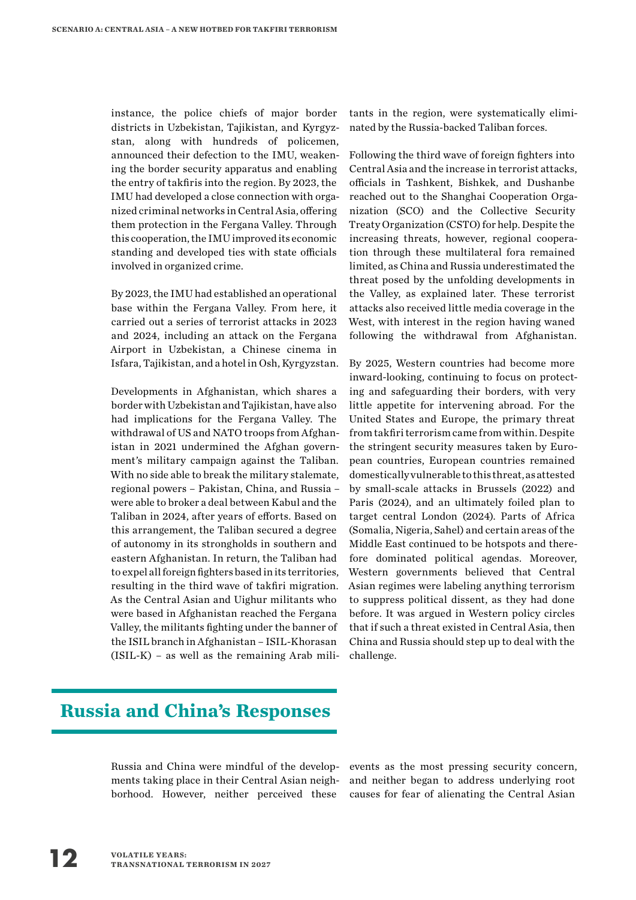instance, the police chiefs of major border districts in Uzbekistan, Tajikistan, and Kyrgyzstan, along with hundreds of policemen, announced their defection to the IMU, weakening the border security apparatus and enabling the entry of takfiris into the region. By 2023, the IMU had developed a close connection with organized criminal networks in Central Asia, offering them protection in the Fergana Valley. Through this cooperation, the IMU improved its economic standing and developed ties with state officials involved in organized crime.

By 2023, the IMU had established an operational base within the Fergana Valley. From here, it carried out a series of terrorist attacks in 2023 and 2024, including an attack on the Fergana Airport in Uzbekistan, a Chinese cinema in Isfara, Tajikistan, and a hotel in Osh, Kyrgyzstan.

Developments in Afghanistan, which shares a border with Uzbekistan and Tajikistan, have also had implications for the Fergana Valley. The withdrawal of US and NATO troops from Afghanistan in 2021 undermined the Afghan government's military campaign against the Taliban. With no side able to break the military stalemate, regional powers – Pakistan, China, and Russia – were able to broker a deal between Kabul and the Taliban in 2024, after years of efforts. Based on this arrangement, the Taliban secured a degree of autonomy in its strongholds in southern and eastern Afghanistan. In return, the Taliban had to expel all foreign fighters based in its territories, resulting in the third wave of takfiri migration. As the Central Asian and Uighur militants who were based in Afghanistan reached the Fergana Valley, the militants fighting under the banner of the ISIL branch in Afghanistan – ISIL-Khorasan (ISIL-K) – as well as the remaining Arab militants in the region, were systematically eliminated by the Russia-backed Taliban forces.

Following the third wave of foreign fighters into Central Asia and the increase in terrorist attacks, officials in Tashkent, Bishkek, and Dushanbe reached out to the Shanghai Cooperation Organization (SCO) and the Collective Security Treaty Organization (CSTO) for help. Despite the increasing threats, however, regional cooperation through these multilateral fora remained limited, as China and Russia underestimated the threat posed by the unfolding developments in the Valley, as explained later. These terrorist attacks also received little media coverage in the West, with interest in the region having waned following the withdrawal from Afghanistan.

By 2025, Western countries had become more inward-looking, continuing to focus on protecting and safeguarding their borders, with very little appetite for intervening abroad. For the United States and Europe, the primary threat from takfiri terrorism came from within. Despite the stringent security measures taken by European countries, European countries remained domestically vulnerable to this threat, as attested by small-scale attacks in Brussels (2022) and Paris (2024), and an ultimately foiled plan to target central London (2024). Parts of Africa (Somalia, Nigeria, Sahel) and certain areas of the Middle East continued to be hotspots and therefore dominated political agendas. Moreover, Western governments believed that Central Asian regimes were labeling anything terrorism to suppress political dissent, as they had done before. It was argued in Western policy circles that if such a threat existed in Central Asia, then China and Russia should step up to deal with the challenge.

### **Russia and China's Responses**

Russia and China were mindful of the developments taking place in their Central Asian neighborhood. However, neither perceived these

events as the most pressing security concern, and neither began to address underlying root causes for fear of alienating the Central Asian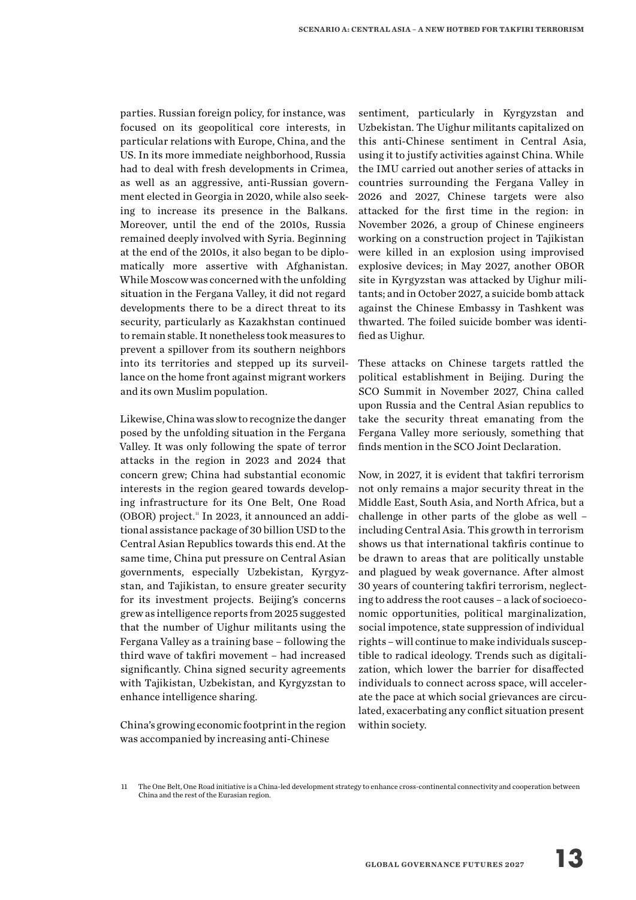parties. Russian foreign policy, for instance, was focused on its geopolitical core interests, in particular relations with Europe, China, and the US. In its more immediate neighborhood, Russia had to deal with fresh developments in Crimea, as well as an aggressive, anti-Russian government elected in Georgia in 2020, while also seeking to increase its presence in the Balkans. Moreover, until the end of the 2010s, Russia remained deeply involved with Syria. Beginning at the end of the 2010s, it also began to be diplomatically more assertive with Afghanistan. While Moscow was concerned with the unfolding situation in the Fergana Valley, it did not regard developments there to be a direct threat to its security, particularly as Kazakhstan continued to remain stable. It nonetheless took measures to prevent a spillover from its southern neighbors into its territories and stepped up its surveillance on the home front against migrant workers and its own Muslim population.

Likewise, China was slow to recognize the danger posed by the unfolding situation in the Fergana Valley. It was only following the spate of terror attacks in the region in 2023 and 2024 that concern grew; China had substantial economic interests in the region geared towards developing infrastructure for its One Belt, One Road (OBOR) project.<sup>11</sup> In 2023, it announced an additional assistance package of 30 billion USD to the Central Asian Republics towards this end. At the same time, China put pressure on Central Asian governments, especially Uzbekistan, Kyrgyzstan, and Tajikistan, to ensure greater security for its investment projects. Beijing's concerns grew as intelligence reports from 2025 suggested that the number of Uighur militants using the Fergana Valley as a training base – following the third wave of takfiri movement – had increased significantly. China signed security agreements with Tajikistan, Uzbekistan, and Kyrgyzstan to enhance intelligence sharing.

China's growing economic footprint in the region was accompanied by increasing anti-Chinese

sentiment, particularly in Kyrgyzstan and Uzbekistan. The Uighur militants capitalized on this anti-Chinese sentiment in Central Asia, using it to justify activities against China. While the IMU carried out another series of attacks in countries surrounding the Fergana Valley in 2026 and 2027, Chinese targets were also attacked for the first time in the region: in November 2026, a group of Chinese engineers working on a construction project in Tajikistan were killed in an explosion using improvised explosive devices; in May 2027, another OBOR site in Kyrgyzstan was attacked by Uighur militants; and in October 2027, a suicide bomb attack against the Chinese Embassy in Tashkent was thwarted. The foiled suicide bomber was identified as Uighur.

These attacks on Chinese targets rattled the political establishment in Beijing. During the SCO Summit in November 2027, China called upon Russia and the Central Asian republics to take the security threat emanating from the Fergana Valley more seriously, something that finds mention in the SCO Joint Declaration.

Now, in 2027, it is evident that takfiri terrorism not only remains a major security threat in the Middle East, South Asia, and North Africa, but a challenge in other parts of the globe as well – including Central Asia. This growth in terrorism shows us that international takfiris continue to be drawn to areas that are politically unstable and plagued by weak governance. After almost 30 years of countering takfiri terrorism, neglecting to address the root causes – a lack of socioeconomic opportunities, political marginalization, social impotence, state suppression of individual rights – will continue to make individuals susceptible to radical ideology. Trends such as digitalization, which lower the barrier for disaffected individuals to connect across space, will accelerate the pace at which social grievances are circulated, exacerbating any conflict situation present within society.

<sup>11</sup> The One Belt, One Road initiative is a China-led development strategy to enhance cross-continental connectivity and cooperation between China and the rest of the Eurasian region.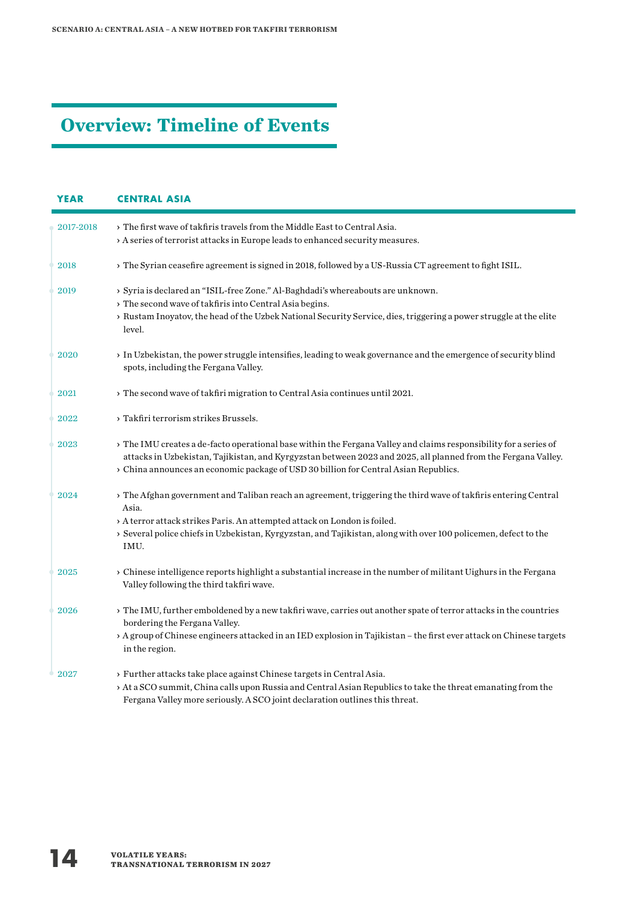## **Overview: Timeline of Events**

| <b>YEAR</b> | <b>CENTRAL ASIA</b>                                                                                                                                                                                                                                                                                                             |  |  |  |  |
|-------------|---------------------------------------------------------------------------------------------------------------------------------------------------------------------------------------------------------------------------------------------------------------------------------------------------------------------------------|--|--|--|--|
| 2017-2018   | > The first wave of takfiris travels from the Middle East to Central Asia.<br>> A series of terrorist attacks in Europe leads to enhanced security measures.                                                                                                                                                                    |  |  |  |  |
| 2018        | > The Syrian ceasefire agreement is signed in 2018, followed by a US-Russia CT agreement to fight ISIL.                                                                                                                                                                                                                         |  |  |  |  |
| 2019        | > Syria is declared an "ISIL-free Zone." Al-Baghdadi's whereabouts are unknown.<br>> The second wave of takfiris into Central Asia begins.<br>> Rustam Inoyatov, the head of the Uzbek National Security Service, dies, triggering a power struggle at the elite<br>level.                                                      |  |  |  |  |
| 2020        | > In Uzbekistan, the power struggle intensifies, leading to weak governance and the emergence of security blind<br>spots, including the Fergana Valley.                                                                                                                                                                         |  |  |  |  |
| 2021        | > The second wave of takfiri migration to Central Asia continues until 2021.                                                                                                                                                                                                                                                    |  |  |  |  |
| 2022        | > Takfiri terrorism strikes Brussels.                                                                                                                                                                                                                                                                                           |  |  |  |  |
| 2023        | > The IMU creates a de-facto operational base within the Fergana Valley and claims responsibility for a series of<br>attacks in Uzbekistan, Tajikistan, and Kyrgyzstan between 2023 and 2025, all planned from the Fergana Valley.<br>> China announces an economic package of USD 30 billion for Central Asian Republics.      |  |  |  |  |
| 2024        | > The Afghan government and Taliban reach an agreement, triggering the third wave of takfiris entering Central<br>Asia.<br>> A terror attack strikes Paris. An attempted attack on London is foiled.<br>> Several police chiefs in Uzbekistan, Kyrgyzstan, and Tajikistan, along with over 100 policemen, defect to the<br>IMU. |  |  |  |  |
| 2025        | > Chinese intelligence reports highlight a substantial increase in the number of militant Uighurs in the Fergana<br>Valley following the third takfiri wave.                                                                                                                                                                    |  |  |  |  |
| 2026        | > The IMU, further emboldened by a new takfiri wave, carries out another spate of terror attacks in the countries<br>bordering the Fergana Valley.<br>> A group of Chinese engineers attacked in an IED explosion in Tajikistan - the first ever attack on Chinese targets<br>in the region.                                    |  |  |  |  |
| 2027        | > Further attacks take place against Chinese targets in Central Asia.<br>> At a SCO summit, China calls upon Russia and Central Asian Republics to take the threat emanating from the<br>Fergana Valley more seriously. A SCO joint declaration outlines this threat.                                                           |  |  |  |  |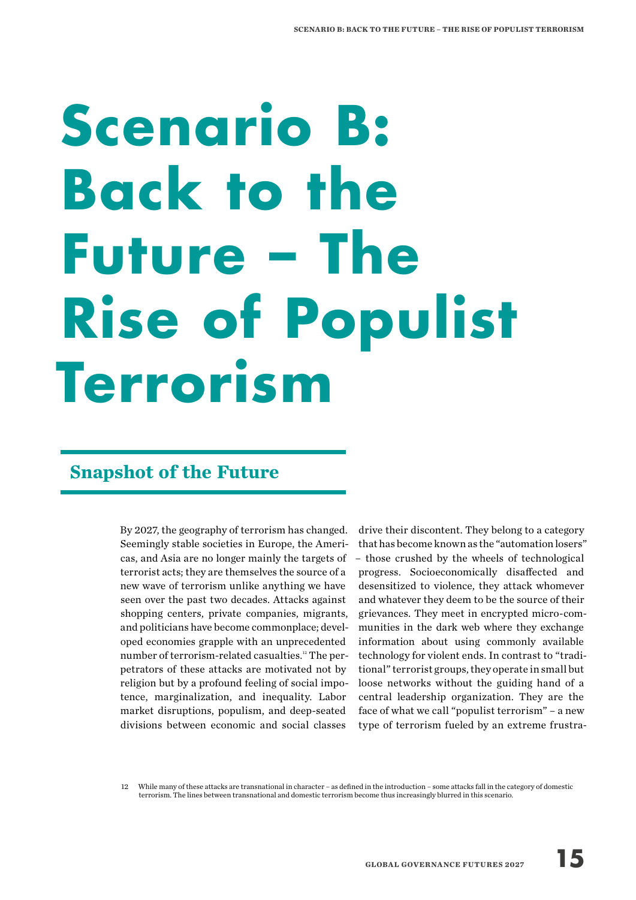## **Scenario B: Back to the Future – The Rise of Populist Terrorism**

### **Snapshot of the Future**

By 2027, the geography of terrorism has changed. Seemingly stable societies in Europe, the Americas, and Asia are no longer mainly the targets of terrorist acts; they are themselves the source of a new wave of terrorism unlike anything we have seen over the past two decades. Attacks against shopping centers, private companies, migrants, and politicians have become commonplace; developed economies grapple with an unprecedented number of terrorism-related casualties.12 The perpetrators of these attacks are motivated not by religion but by a profound feeling of social impotence, marginalization, and inequality. Labor market disruptions, populism, and deep-seated divisions between economic and social classes

drive their discontent. They belong to a category that has become known as the "automation losers" – those crushed by the wheels of technological progress. Socioeconomically disaffected and desensitized to violence, they attack whomever and whatever they deem to be the source of their grievances. They meet in encrypted micro-communities in the dark web where they exchange information about using commonly available technology for violent ends. In contrast to "traditional" terrorist groups, they operate in small but loose networks without the guiding hand of a central leadership organization. They are the face of what we call "populist terrorism" – a new type of terrorism fueled by an extreme frustra-

12 While many of these attacks are transnational in character – as defined in the introduction – some attacks fall in the category of domestic terrorism. The lines between transnational and domestic terrorism become thus increasingly blurred in this scenario.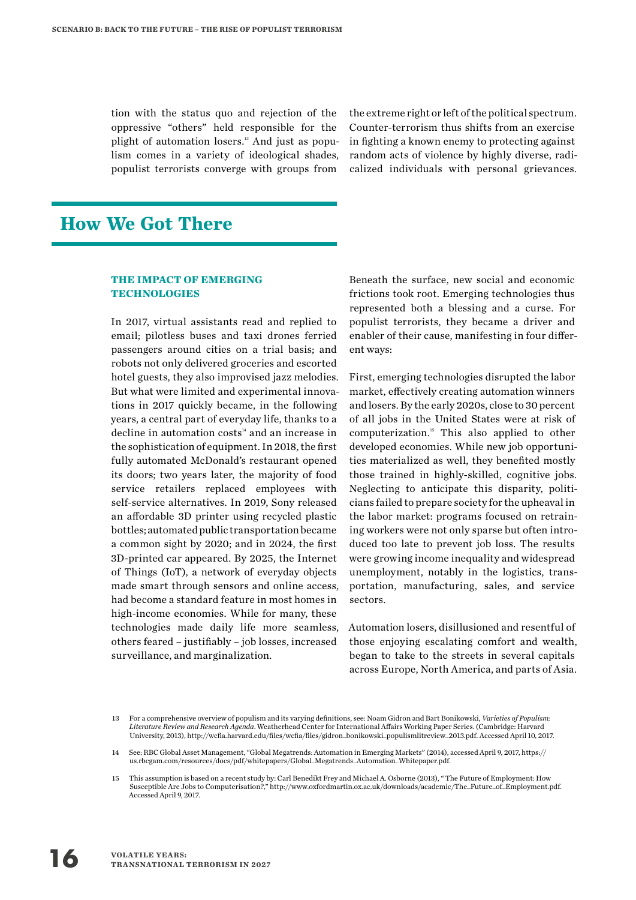tion with the status quo and rejection of the oppressive "others" held responsible for the plight of automation losers.<sup>13</sup> And just as populism comes in a variety of ideological shades, populist terrorists converge with groups from

the extreme right or left of the political spectrum. Counter-terrorism thus shifts from an exercise in fighting a known enemy to protecting against random acts of violence by highly diverse, radicalized individuals with personal grievances.

### **How We Got There**

#### **THE IMPACT OF EMERGING TECHNOLOGIES**

In 2017, virtual assistants read and replied to email; pilotless buses and taxi drones ferried passengers around cities on a trial basis; and robots not only delivered groceries and escorted hotel guests, they also improvised jazz melodies. But what were limited and experimental innovations in 2017 quickly became, in the following years, a central part of everyday life, thanks to a decline in automation costs<sup>14</sup> and an increase in the sophistication of equipment. In 2018, the first fully automated McDonald's restaurant opened its doors; two years later, the majority of food service retailers replaced employees with self-service alternatives. In 2019, Sony released an affordable 3D printer using recycled plastic bottles; automated public transportation became a common sight by 2020; and in 2024, the first 3D-printed car appeared. By 2025, the Internet of Things (IoT), a network of everyday objects made smart through sensors and online access, had become a standard feature in most homes in high-income economies. While for many, these technologies made daily life more seamless, others feared – justifiably – job losses, increased surveillance, and marginalization.

Beneath the surface, new social and economic frictions took root. Emerging technologies thus represented both a blessing and a curse. For populist terrorists, they became a driver and enabler of their cause, manifesting in four different ways:

First, emerging technologies disrupted the labor market, effectively creating automation winners and losers. By the early 2020s, close to 30 percent of all jobs in the United States were at risk of computerization.<sup>15</sup> This also applied to other developed economies. While new job opportunities materialized as well, they benefited mostly those trained in highly-skilled, cognitive jobs. Neglecting to anticipate this disparity, politicians failed to prepare society for the upheaval in the labor market: programs focused on retraining workers were not only sparse but often introduced too late to prevent job loss. The results were growing income inequality and widespread unemployment, notably in the logistics, transportation, manufacturing, sales, and service sectors.

Automation losers, disillusioned and resentful of those enjoying escalating comfort and wealth, began to take to the streets in several capitals across Europe, North America, and parts of Asia.

<sup>13</sup> For a comprehensive overview of populism and its varying definitions, see: Noam Gidron and Bart Bonikowski, *Varieties of Populism: Literature Review and Research Agenda*. Weatherhead Center for International Affairs Working Paper Series. (Cambridge: Harvard University, 2013), http://wcfia.harvard.edu/files/wcfia/files/gidron\_bonikowski\_populismlitreview\_2013.pdf. Accessed April 10, 2017.

<sup>14</sup> See: RBC Global Asset Management, "Global Megatrends: Automation in Emerging Markets" (2014), accessed April 9, 2017, https:// us.rbcgam.com/resources/docs/pdf/whitepapers/Global\_Megatrends\_Automation\_Whitepaper.pdf.

<sup>15</sup> This assumption is based on a recent study by: Carl Benedikt Frey and Michael A. Osborne (2013), " The Future of Employment: How Susceptible Are Jobs to Computerisation?," http://www.oxfordmartin.ox.ac.uk/downloads/academic/The\_Future\_of\_Employment.pdf. Accessed April 9, 2017.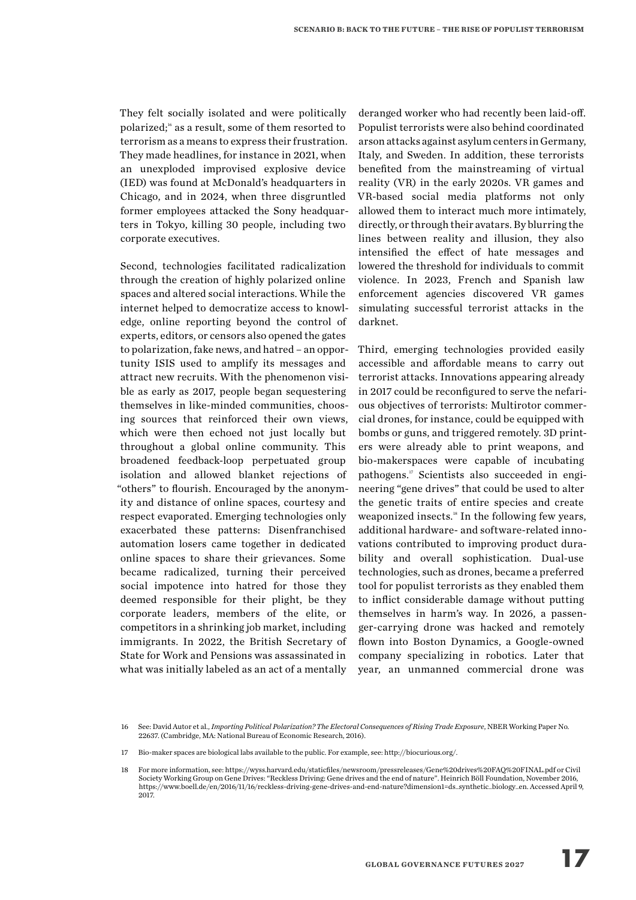They felt socially isolated and were politically polarized;<sup>16</sup> as a result, some of them resorted to terrorism as a means to express their frustration. They made headlines, for instance in 2021, when an unexploded improvised explosive device (IED) was found at McDonald's headquarters in Chicago, and in 2024, when three disgruntled former employees attacked the Sony headquarters in Tokyo, killing 30 people, including two corporate executives.

Second, technologies facilitated radicalization through the creation of highly polarized online spaces and altered social interactions. While the internet helped to democratize access to knowledge, online reporting beyond the control of experts, editors, or censors also opened the gates to polarization, fake news, and hatred – an opportunity ISIS used to amplify its messages and attract new recruits. With the phenomenon visible as early as 2017, people began sequestering themselves in like-minded communities, choosing sources that reinforced their own views, which were then echoed not just locally but throughout a global online community. This broadened feedback-loop perpetuated group isolation and allowed blanket rejections of "others" to flourish. Encouraged by the anonymity and distance of online spaces, courtesy and respect evaporated. Emerging technologies only exacerbated these patterns: Disenfranchised automation losers came together in dedicated online spaces to share their grievances. Some became radicalized, turning their perceived social impotence into hatred for those they deemed responsible for their plight, be they corporate leaders, members of the elite, or competitors in a shrinking job market, including immigrants. In 2022, the British Secretary of State for Work and Pensions was assassinated in what was initially labeled as an act of a mentally

deranged worker who had recently been laid-off. Populist terrorists were also behind coordinated arson attacks against asylum centers in Germany, Italy, and Sweden. In addition, these terrorists benefited from the mainstreaming of virtual reality (VR) in the early 2020s. VR games and VR-based social media platforms not only allowed them to interact much more intimately, directly, or through their avatars. By blurring the lines between reality and illusion, they also intensified the effect of hate messages and lowered the threshold for individuals to commit violence. In 2023, French and Spanish law enforcement agencies discovered VR games simulating successful terrorist attacks in the darknet.

Third, emerging technologies provided easily accessible and affordable means to carry out terrorist attacks. Innovations appearing already in 2017 could be reconfigured to serve the nefarious objectives of terrorists: Multirotor commercial drones, for instance, could be equipped with bombs or guns, and triggered remotely. 3D printers were already able to print weapons, and bio-makerspaces were capable of incubating pathogens.17 Scientists also succeeded in engineering "gene drives" that could be used to alter the genetic traits of entire species and create weaponized insects.<sup>18</sup> In the following few years, additional hardware- and software-related innovations contributed to improving product durability and overall sophistication. Dual-use technologies, such as drones, became a preferred tool for populist terrorists as they enabled them to inflict considerable damage without putting themselves in harm's way. In 2026, a passenger-carrying drone was hacked and remotely flown into Boston Dynamics, a Google-owned company specializing in robotics. Later that year, an unmanned commercial drone was

<sup>16</sup> See: David Autor et al., *Importing Political Polarization? The Electoral Consequences of Rising Trade Exposure*, NBER Working Paper No. 22637. (Cambridge, MA: National Bureau of Economic Research, 2016).

<sup>17</sup> Bio-maker spaces are biological labs available to the public. For example, see: http://biocurious.org/.

<sup>18</sup> For more information, see: https://wyss.harvard.edu/staticfiles/newsroom/pressreleases/Gene%20drives%20FAQ%20FINAL.pdf or Civil Society Working Group on Gene Drives: "Reckless Driving: Gene drives and the end of nature". Heinrich Böll Foundation, November 2016, https://www.boell.de/en/2016/11/16/reckless-driving-gene-drives-and-end-nature?dimension1=ds\_synthetic\_biology\_en. Accessed April 9, 2017.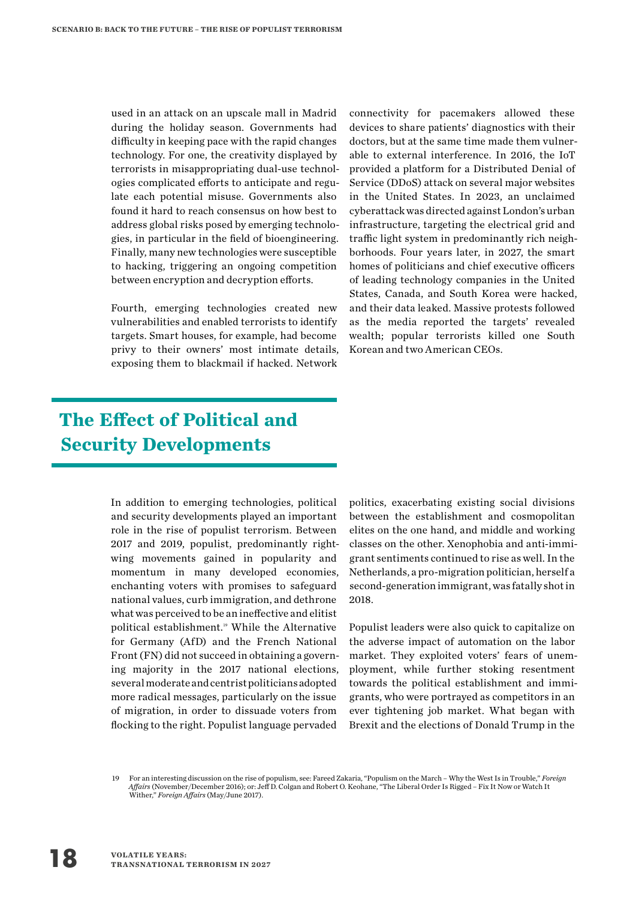used in an attack on an upscale mall in Madrid during the holiday season. Governments had difficulty in keeping pace with the rapid changes technology. For one, the creativity displayed by terrorists in misappropriating dual-use technologies complicated efforts to anticipate and regulate each potential misuse. Governments also found it hard to reach consensus on how best to address global risks posed by emerging technologies, in particular in the field of bioengineering. Finally, many new technologies were susceptible to hacking, triggering an ongoing competition between encryption and decryption efforts.

Fourth, emerging technologies created new vulnerabilities and enabled terrorists to identify targets. Smart houses, for example, had become privy to their owners' most intimate details, exposing them to blackmail if hacked. Network

#### connectivity for pacemakers allowed these devices to share patients' diagnostics with their doctors, but at the same time made them vulnerable to external interference. In 2016, the IoT provided a platform for a Distributed Denial of Service (DDoS) attack on several major websites in the United States. In 2023, an unclaimed cyberattack was directed against London's urban infrastructure, targeting the electrical grid and traffic light system in predominantly rich neighborhoods. Four years later, in 2027, the smart homes of politicians and chief executive officers of leading technology companies in the United States, Canada, and South Korea were hacked, and their data leaked. Massive protests followed as the media reported the targets' revealed wealth; popular terrorists killed one South Korean and two American CEOs.

## **The Effect of Political and Security Developments**

In addition to emerging technologies, political and security developments played an important role in the rise of populist terrorism. Between 2017 and 2019, populist, predominantly rightwing movements gained in popularity and momentum in many developed economies, enchanting voters with promises to safeguard national values, curb immigration, and dethrone what was perceived to be an ineffective and elitist political establishment.<sup>19</sup> While the Alternative for Germany (AfD) and the French National Front (FN) did not succeed in obtaining a governing majority in the 2017 national elections, several moderate and centrist politicians adopted more radical messages, particularly on the issue of migration, in order to dissuade voters from flocking to the right. Populist language pervaded

politics, exacerbating existing social divisions between the establishment and cosmopolitan elites on the one hand, and middle and working classes on the other. Xenophobia and anti-immigrant sentiments continued to rise as well. In the Netherlands, a pro-migration politician, herself a second-generation immigrant, was fatally shot in 2018.

Populist leaders were also quick to capitalize on the adverse impact of automation on the labor market. They exploited voters' fears of unemployment, while further stoking resentment towards the political establishment and immigrants, who were portrayed as competitors in an ever tightening job market. What began with Brexit and the elections of Donald Trump in the

<sup>19</sup> For an interesting discussion on the rise of populism, see: Fareed Zakaria, "Populism on the March – Why the West Is in Trouble," *Foreign Affairs* (November/December 2016); or: Jeff D. Colgan and Robert O. Keohane, "The Liberal Order Is Rigged – Fix It Now or Watch It Wither," *Foreign Affairs* (May/June 2017).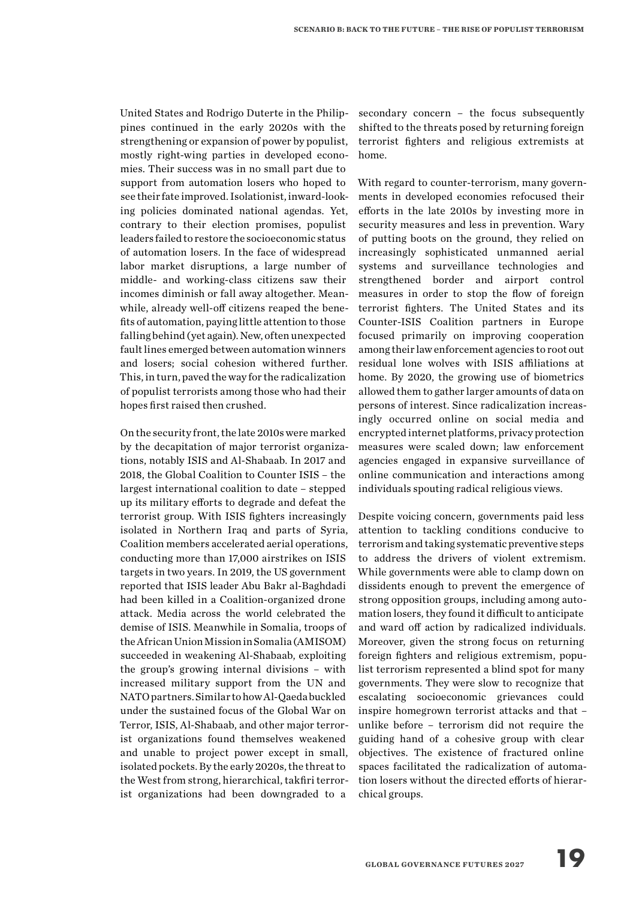United States and Rodrigo Duterte in the Philippines continued in the early 2020s with the strengthening or expansion of power by populist, mostly right-wing parties in developed economies. Their success was in no small part due to support from automation losers who hoped to see their fate improved. Isolationist, inward-looking policies dominated national agendas. Yet, contrary to their election promises, populist leaders failed to restore the socioeconomic status of automation losers. In the face of widespread labor market disruptions, a large number of middle- and working-class citizens saw their incomes diminish or fall away altogether. Meanwhile, already well-off citizens reaped the benefits of automation, paying little attention to those falling behind (yet again). New, often unexpected fault lines emerged between automation winners and losers; social cohesion withered further. This, in turn, paved the way for the radicalization of populist terrorists among those who had their hopes first raised then crushed.

On the security front, the late 2010s were marked by the decapitation of major terrorist organizations, notably ISIS and Al-Shabaab. In 2017 and 2018, the Global Coalition to Counter ISIS – the largest international coalition to date – stepped up its military efforts to degrade and defeat the terrorist group. With ISIS fighters increasingly isolated in Northern Iraq and parts of Syria, Coalition members accelerated aerial operations, conducting more than 17,000 airstrikes on ISIS targets in two years. In 2019, the US government reported that ISIS leader Abu Bakr al-Baghdadi had been killed in a Coalition-organized drone attack. Media across the world celebrated the demise of ISIS. Meanwhile in Somalia, troops of the African Union Mission in Somalia (AMISOM) succeeded in weakening Al-Shabaab, exploiting the group's growing internal divisions – with increased military support from the UN and NATO partners. Similar to how Al-Qaeda buckled under the sustained focus of the Global War on Terror, ISIS, Al-Shabaab, and other major terrorist organizations found themselves weakened and unable to project power except in small, isolated pockets. By the early 2020s, the threat to the West from strong, hierarchical, takfiri terrorist organizations had been downgraded to a

secondary concern – the focus subsequently shifted to the threats posed by returning foreign terrorist fighters and religious extremists at home.

With regard to counter-terrorism, many governments in developed economies refocused their efforts in the late 2010s by investing more in security measures and less in prevention. Wary of putting boots on the ground, they relied on increasingly sophisticated unmanned aerial systems and surveillance technologies and strengthened border and airport control measures in order to stop the flow of foreign terrorist fighters. The United States and its Counter-ISIS Coalition partners in Europe focused primarily on improving cooperation among their law enforcement agencies to root out residual lone wolves with ISIS affiliations at home. By 2020, the growing use of biometrics allowed them to gather larger amounts of data on persons of interest. Since radicalization increasingly occurred online on social media and encrypted internet platforms, privacy protection measures were scaled down; law enforcement agencies engaged in expansive surveillance of online communication and interactions among individuals spouting radical religious views.

Despite voicing concern, governments paid less attention to tackling conditions conducive to terrorism and taking systematic preventive steps to address the drivers of violent extremism. While governments were able to clamp down on dissidents enough to prevent the emergence of strong opposition groups, including among automation losers, they found it difficult to anticipate and ward off action by radicalized individuals. Moreover, given the strong focus on returning foreign fighters and religious extremism, populist terrorism represented a blind spot for many governments. They were slow to recognize that escalating socioeconomic grievances could inspire homegrown terrorist attacks and that – unlike before – terrorism did not require the guiding hand of a cohesive group with clear objectives. The existence of fractured online spaces facilitated the radicalization of automation losers without the directed efforts of hierarchical groups.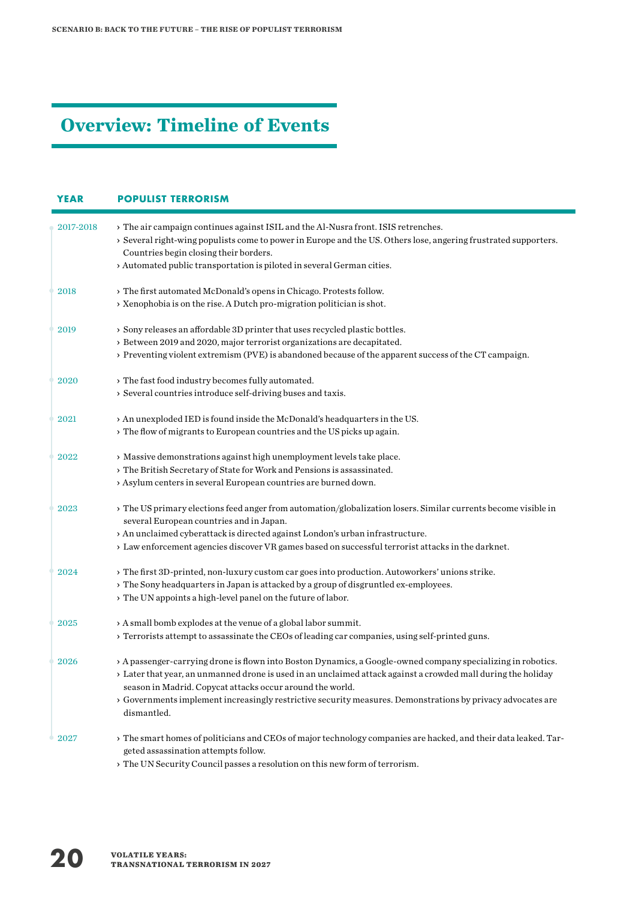## **Overview: Timeline of Events**

| <b>YEAR</b> | <b>POPULIST TERRORISM</b>                                                                                                                                                                                                                                                                                                                                                                                                |  |  |  |  |  |
|-------------|--------------------------------------------------------------------------------------------------------------------------------------------------------------------------------------------------------------------------------------------------------------------------------------------------------------------------------------------------------------------------------------------------------------------------|--|--|--|--|--|
| 2017-2018   | > The air campaign continues against ISIL and the Al-Nusra front. ISIS retrenches.<br>> Several right-wing populists come to power in Europe and the US. Others lose, angering frustrated supporters.<br>Countries begin closing their borders.<br>> Automated public transportation is piloted in several German cities.                                                                                                |  |  |  |  |  |
| 2018        | > The first automated McDonald's opens in Chicago. Protests follow.<br>> Xenophobia is on the rise. A Dutch pro-migration politician is shot.                                                                                                                                                                                                                                                                            |  |  |  |  |  |
| 2019        | > Sony releases an affordable 3D printer that uses recycled plastic bottles.<br>> Between 2019 and 2020, major terrorist organizations are decapitated.<br>> Preventing violent extremism (PVE) is abandoned because of the apparent success of the CT campaign.                                                                                                                                                         |  |  |  |  |  |
| 2020        | $\rightarrow$ The fast food industry becomes fully automated.<br>> Several countries introduce self-driving buses and taxis.                                                                                                                                                                                                                                                                                             |  |  |  |  |  |
| 2021        | > An unexploded IED is found inside the McDonald's headquarters in the US.<br>> The flow of migrants to European countries and the US picks up again.                                                                                                                                                                                                                                                                    |  |  |  |  |  |
| 2022        | > Massive demonstrations against high unemployment levels take place.<br>> The British Secretary of State for Work and Pensions is assassinated.<br>> Asylum centers in several European countries are burned down.                                                                                                                                                                                                      |  |  |  |  |  |
| 2023        | > The US primary elections feed anger from automation/globalization losers. Similar currents become visible in<br>several European countries and in Japan.<br>> An unclaimed cyberattack is directed against London's urban infrastructure.<br>> Law enforcement agencies discover VR games based on successful terrorist attacks in the darknet.                                                                        |  |  |  |  |  |
| 2024        | > The first 3D-printed, non-luxury custom car goes into production. Autoworkers' unions strike.<br>> The Sony headquarters in Japan is attacked by a group of disgruntled ex-employees.<br>> The UN appoints a high-level panel on the future of labor.                                                                                                                                                                  |  |  |  |  |  |
| 2025        | > A small bomb explodes at the venue of a global labor summit.<br>> Terrorists attempt to assassinate the CEOs of leading car companies, using self-printed guns.                                                                                                                                                                                                                                                        |  |  |  |  |  |
| 2026        | > A passenger-carrying drone is flown into Boston Dynamics, a Google-owned company specializing in robotics.<br>> Later that year, an unmanned drone is used in an unclaimed attack against a crowded mall during the holiday<br>season in Madrid. Copycat attacks occur around the world.<br>> Governments implement increasingly restrictive security measures. Demonstrations by privacy advocates are<br>dismantled. |  |  |  |  |  |
| 2027        | > The smart homes of politicians and CEOs of major technology companies are hacked, and their data leaked. Tar-<br>geted assassination attempts follow.<br>والموسوعة فواسعه بسواري والملابس ومناطب<br>$\mathbf{L} \cdot \mathbf{I}$ in $\mathcal{C}$ and $\mathcal{C}$ and $\mathcal{C}$                                                                                                                                 |  |  |  |  |  |

 $\rightarrow$  The UN Security Council passes a resolution on this new form of terrorism.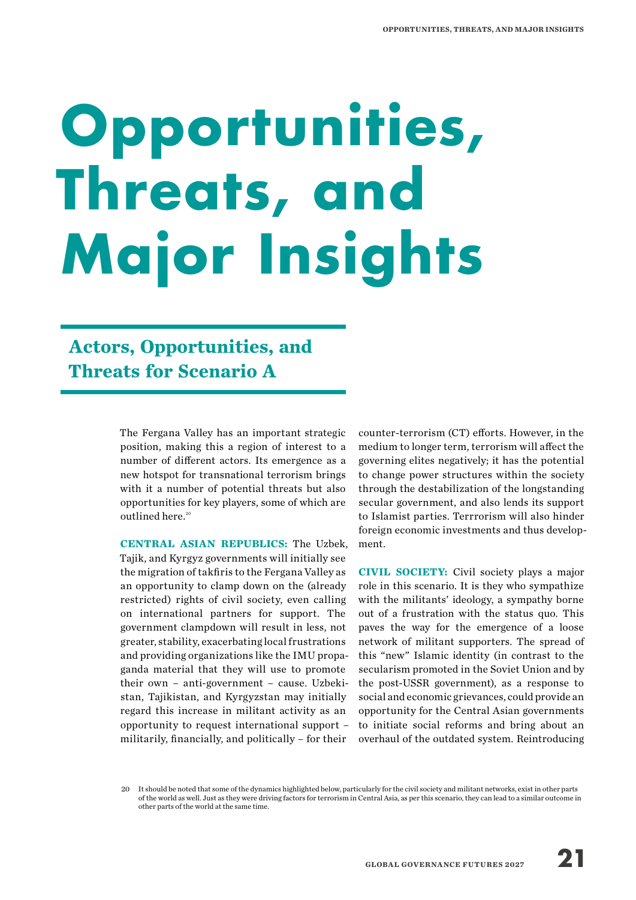## **Opportunities, Threats, and Major Insights**

## **Actors, Opportunities, and Threats for Scenario A**

The Fergana Valley has an important strategic position, making this a region of interest to a number of different actors. Its emergence as a new hotspot for transnational terrorism brings with it a number of potential threats but also opportunities for key players, some of which are outlined here.<sup>20</sup>

**CENTRAL ASIAN REPUBLICS:** The Uzbek, Tajik, and Kyrgyz governments will initially see the migration of takfiris to the Fergana Valley as an opportunity to clamp down on the (already restricted) rights of civil society, even calling on international partners for support. The government clampdown will result in less, not greater, stability, exacerbating local frustrations and providing organizations like the IMU propaganda material that they will use to promote their own – anti-government – cause. Uzbekistan, Tajikistan, and Kyrgyzstan may initially regard this increase in militant activity as an opportunity to request international support – militarily, financially, and politically – for their

counter-terrorism (CT) efforts. However, in the medium to longer term, terrorism will affect the governing elites negatively; it has the potential to change power structures within the society through the destabilization of the longstanding secular government, and also lends its support to Islamist parties. Terrrorism will also hinder foreign economic investments and thus development.

**CIVIL SOCIETY:** Civil society plays a major role in this scenario. It is they who sympathize with the militants' ideology, a sympathy borne out of a frustration with the status quo. This paves the way for the emergence of a loose network of militant supporters. The spread of this "new" Islamic identity (in contrast to the secularism promoted in the Soviet Union and by the post-USSR government), as a response to social and economic grievances, could provide an opportunity for the Central Asian governments to initiate social reforms and bring about an overhaul of the outdated system. Reintroducing

<sup>20</sup> It should be noted that some of the dynamics highlighted below, particularly for the civil society and militant networks, exist in other parts of the world as well. Just as they were driving factors for terrorism in Central Asia, as per this scenario, they can lead to a similar outcome in other parts of the world at the same time.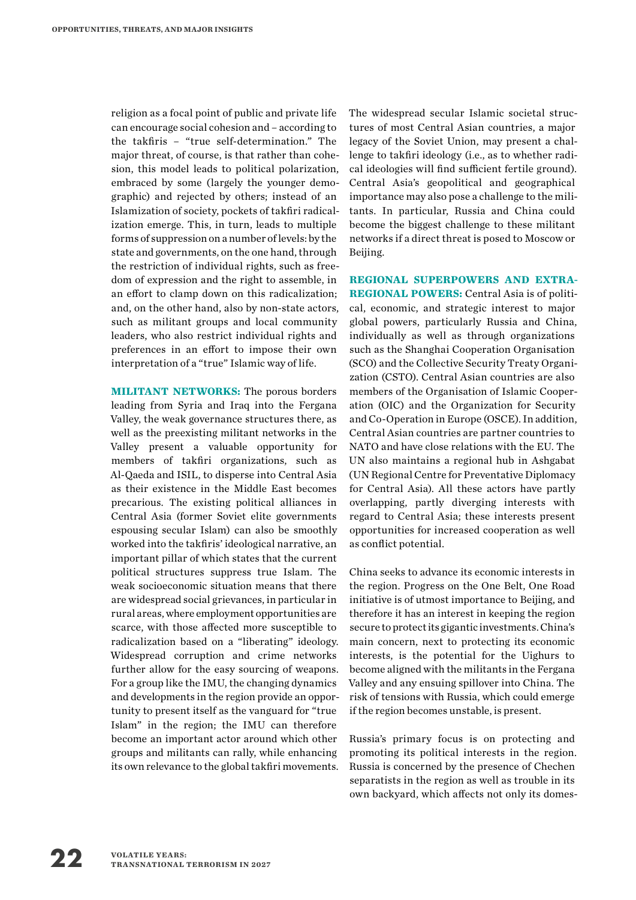religion as a focal point of public and private life can encourage social cohesion and – according to the takfiris – "true self-determination." The major threat, of course, is that rather than cohesion, this model leads to political polarization, embraced by some (largely the younger demographic) and rejected by others; instead of an Islamization of society, pockets of takfiri radicalization emerge. This, in turn, leads to multiple forms of suppression on a number of levels: by the state and governments, on the one hand, through the restriction of individual rights, such as freedom of expression and the right to assemble, in an effort to clamp down on this radicalization; and, on the other hand, also by non-state actors, such as militant groups and local community leaders, who also restrict individual rights and preferences in an effort to impose their own interpretation of a "true" Islamic way of life.

**MILITANT NETWORKS:** The porous borders leading from Syria and Iraq into the Fergana Valley, the weak governance structures there, as well as the preexisting militant networks in the Valley present a valuable opportunity for members of takfiri organizations, such as Al-Qaeda and ISIL, to disperse into Central Asia as their existence in the Middle East becomes precarious. The existing political alliances in Central Asia (former Soviet elite governments espousing secular Islam) can also be smoothly worked into the takfiris' ideological narrative, an important pillar of which states that the current political structures suppress true Islam. The weak socioeconomic situation means that there are widespread social grievances, in particular in rural areas, where employment opportunities are scarce, with those affected more susceptible to radicalization based on a "liberating" ideology. Widespread corruption and crime networks further allow for the easy sourcing of weapons. For a group like the IMU, the changing dynamics and developments in the region provide an opportunity to present itself as the vanguard for "true Islam" in the region; the IMU can therefore become an important actor around which other groups and militants can rally, while enhancing its own relevance to the global takfiri movements. The widespread secular Islamic societal structures of most Central Asian countries, a major legacy of the Soviet Union, may present a challenge to takfiri ideology (i.e., as to whether radical ideologies will find sufficient fertile ground). Central Asia's geopolitical and geographical importance may also pose a challenge to the militants. In particular, Russia and China could become the biggest challenge to these militant networks if a direct threat is posed to Moscow or Beijing.

**REGIONAL SUPERPOWERS AND EXTRA-REGIONAL POWERS:** Central Asia is of political, economic, and strategic interest to major global powers, particularly Russia and China, individually as well as through organizations such as the Shanghai Cooperation Organisation (SCO) and the Collective Security Treaty Organization (CSTO). Central Asian countries are also members of the Organisation of Islamic Cooperation (OIC) and the Organization for Security and Co-Operation in Europe (OSCE). In addition, Central Asian countries are partner countries to NATO and have close relations with the EU. The UN also maintains a regional hub in Ashgabat (UN Regional Centre for Preventative Diplomacy for Central Asia). All these actors have partly overlapping, partly diverging interests with regard to Central Asia; these interests present opportunities for increased cooperation as well as conflict potential.

China seeks to advance its economic interests in the region. Progress on the One Belt, One Road initiative is of utmost importance to Beijing, and therefore it has an interest in keeping the region secure to protect its gigantic investments. China's main concern, next to protecting its economic interests, is the potential for the Uighurs to become aligned with the militants in the Fergana Valley and any ensuing spillover into China. The risk of tensions with Russia, which could emerge if the region becomes unstable, is present.

Russia's primary focus is on protecting and promoting its political interests in the region. Russia is concerned by the presence of Chechen separatists in the region as well as trouble in its own backyard, which affects not only its domes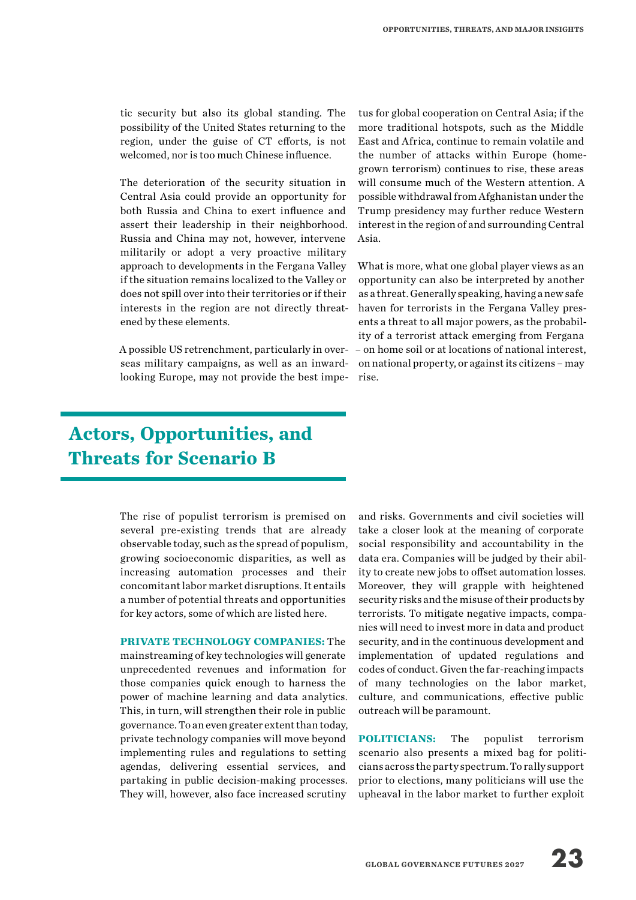tic security but also its global standing. The possibility of the United States returning to the region, under the guise of CT efforts, is not welcomed, nor is too much Chinese influence.

The deterioration of the security situation in Central Asia could provide an opportunity for both Russia and China to exert influence and assert their leadership in their neighborhood. Russia and China may not, however, intervene militarily or adopt a very proactive military approach to developments in the Fergana Valley if the situation remains localized to the Valley or does not spill over into their territories or if their interests in the region are not directly threatened by these elements.

A possible US retrenchment, particularly in overseas military campaigns, as well as an inwardlooking Europe, may not provide the best impe-

### **Actors, Opportunities, and Threats for Scenario B**

The rise of populist terrorism is premised on several pre-existing trends that are already observable today, such as the spread of populism, growing socioeconomic disparities, as well as increasing automation processes and their concomitant labor market disruptions. It entails a number of potential threats and opportunities for key actors, some of which are listed here.

**PRIVATE TECHNOLOGY COMPANIES:** The mainstreaming of key technologies will generate unprecedented revenues and information for those companies quick enough to harness the power of machine learning and data analytics. This, in turn, will strengthen their role in public governance. To an even greater extent than today, private technology companies will move beyond implementing rules and regulations to setting agendas, delivering essential services, and partaking in public decision-making processes. They will, however, also face increased scrutiny

tus for global cooperation on Central Asia; if the more traditional hotspots, such as the Middle East and Africa, continue to remain volatile and the number of attacks within Europe (homegrown terrorism) continues to rise, these areas will consume much of the Western attention. A possible withdrawal from Afghanistan under the Trump presidency may further reduce Western interest in the region of and surrounding Central Asia.

What is more, what one global player views as an opportunity can also be interpreted by another as a threat. Generally speaking, having a new safe haven for terrorists in the Fergana Valley presents a threat to all major powers, as the probability of a terrorist attack emerging from Fergana – on home soil or at locations of national interest, on national property, or against its citizens – may rise.

and risks. Governments and civil societies will take a closer look at the meaning of corporate social responsibility and accountability in the data era. Companies will be judged by their ability to create new jobs to offset automation losses. Moreover, they will grapple with heightened security risks and the misuse of their products by terrorists. To mitigate negative impacts, companies will need to invest more in data and product security, and in the continuous development and implementation of updated regulations and codes of conduct. Given the far-reaching impacts of many technologies on the labor market, culture, and communications, effective public outreach will be paramount.

**POLITICIANS:** The populist terrorism scenario also presents a mixed bag for politicians across the party spectrum. To rally support prior to elections, many politicians will use the upheaval in the labor market to further exploit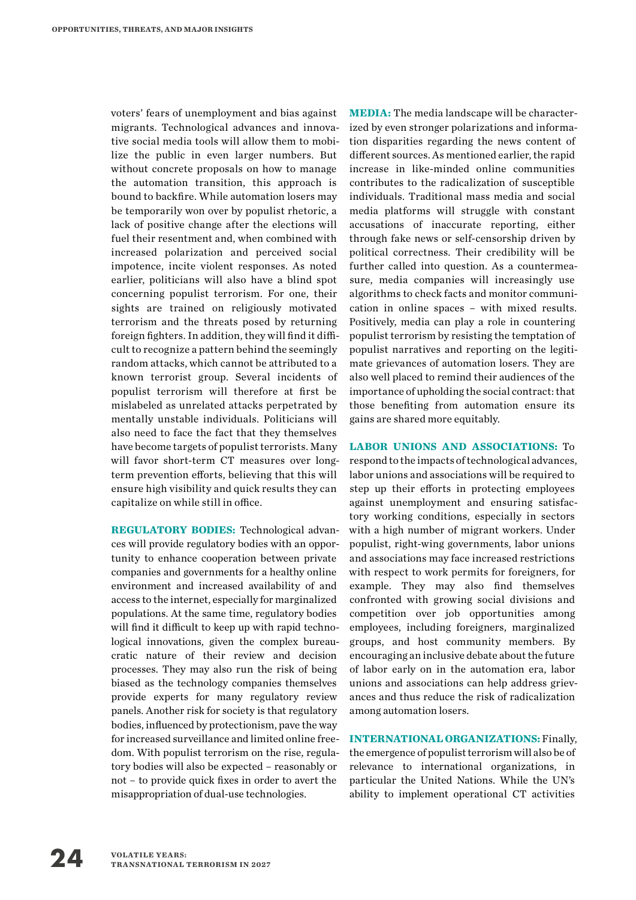voters' fears of unemployment and bias against migrants. Technological advances and innovative social media tools will allow them to mobilize the public in even larger numbers. But without concrete proposals on how to manage the automation transition, this approach is bound to backfire. While automation losers may be temporarily won over by populist rhetoric, a lack of positive change after the elections will fuel their resentment and, when combined with increased polarization and perceived social impotence, incite violent responses. As noted earlier, politicians will also have a blind spot concerning populist terrorism. For one, their sights are trained on religiously motivated terrorism and the threats posed by returning foreign fighters. In addition, they will find it difficult to recognize a pattern behind the seemingly random attacks, which cannot be attributed to a known terrorist group. Several incidents of populist terrorism will therefore at first be mislabeled as unrelated attacks perpetrated by mentally unstable individuals. Politicians will also need to face the fact that they themselves have become targets of populist terrorists. Many will favor short-term CT measures over longterm prevention efforts, believing that this will ensure high visibility and quick results they can capitalize on while still in office.

**REGULATORY BODIES:** Technological advances will provide regulatory bodies with an opportunity to enhance cooperation between private companies and governments for a healthy online environment and increased availability of and access to the internet, especially for marginalized populations. At the same time, regulatory bodies will find it difficult to keep up with rapid technological innovations, given the complex bureaucratic nature of their review and decision processes. They may also run the risk of being biased as the technology companies themselves provide experts for many regulatory review panels. Another risk for society is that regulatory bodies, influenced by protectionism, pave the way for increased surveillance and limited online freedom. With populist terrorism on the rise, regulatory bodies will also be expected – reasonably or not – to provide quick fixes in order to avert the misappropriation of dual-use technologies.

**MEDIA:** The media landscape will be characterized by even stronger polarizations and information disparities regarding the news content of different sources. As mentioned earlier, the rapid increase in like-minded online communities contributes to the radicalization of susceptible individuals. Traditional mass media and social media platforms will struggle with constant accusations of inaccurate reporting, either through fake news or self-censorship driven by political correctness. Their credibility will be further called into question. As a countermeasure, media companies will increasingly use algorithms to check facts and monitor communication in online spaces – with mixed results. Positively, media can play a role in countering populist terrorism by resisting the temptation of populist narratives and reporting on the legitimate grievances of automation losers. They are also well placed to remind their audiences of the importance of upholding the social contract: that those benefiting from automation ensure its gains are shared more equitably.

**LABOR UNIONS AND ASSOCIATIONS:** To respond to the impacts of technological advances, labor unions and associations will be required to step up their efforts in protecting employees against unemployment and ensuring satisfactory working conditions, especially in sectors with a high number of migrant workers. Under populist, right-wing governments, labor unions and associations may face increased restrictions with respect to work permits for foreigners, for example. They may also find themselves confronted with growing social divisions and competition over job opportunities among employees, including foreigners, marginalized groups, and host community members. By encouraging an inclusive debate about the future of labor early on in the automation era, labor unions and associations can help address grievances and thus reduce the risk of radicalization among automation losers.

**INTERNATIONAL ORGANIZATIONS:** Finally, the emergence of populist terrorism will also be of relevance to international organizations, in particular the United Nations. While the UN's ability to implement operational CT activities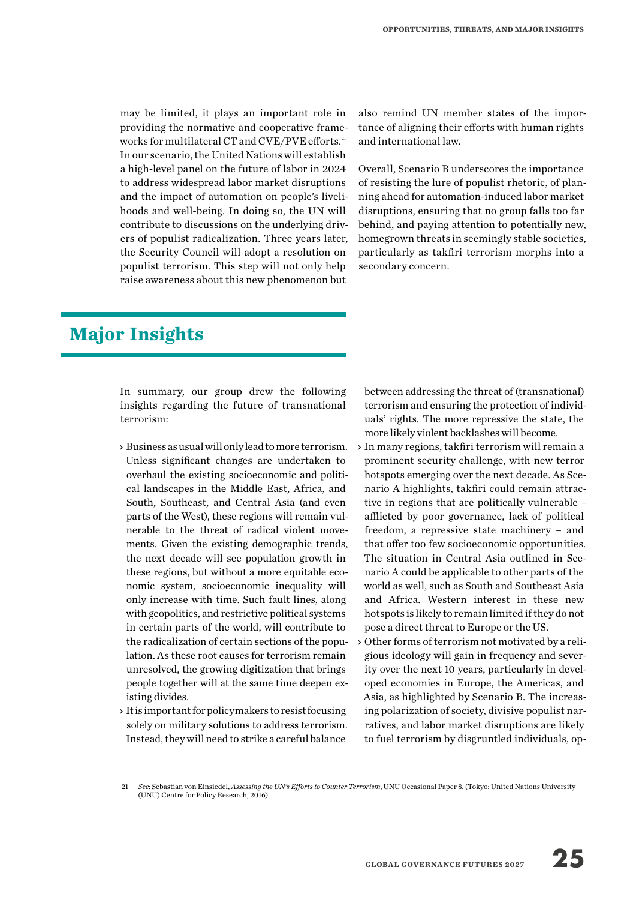may be limited, it plays an important role in providing the normative and cooperative frameworks for multilateral CT and CVE/PVE efforts.<sup>21</sup> In our scenario, the United Nations will establish a high-level panel on the future of labor in 2024 to address widespread labor market disruptions and the impact of automation on people's livelihoods and well-being. In doing so, the UN will contribute to discussions on the underlying drivers of populist radicalization. Three years later, the Security Council will adopt a resolution on populist terrorism. This step will not only help raise awareness about this new phenomenon but

### **Major Insights**

In summary, our group drew the following insights regarding the future of transnational terrorism:

- › Business as usual will only lead to more terrorism. Unless significant changes are undertaken to overhaul the existing socioeconomic and political landscapes in the Middle East, Africa, and South, Southeast, and Central Asia (and even parts of the West), these regions will remain vulnerable to the threat of radical violent movements. Given the existing demographic trends, the next decade will see population growth in these regions, but without a more equitable economic system, socioeconomic inequality will only increase with time. Such fault lines, along with geopolitics, and restrictive political systems in certain parts of the world, will contribute to the radicalization of certain sections of the population. As these root causes for terrorism remain unresolved, the growing digitization that brings people together will at the same time deepen existing divides.
- › It is important for policymakers to resist focusing solely on military solutions to address terrorism. Instead, they will need to strike a careful balance

also remind UN member states of the importance of aligning their efforts with human rights and international law.

Overall, Scenario B underscores the importance of resisting the lure of populist rhetoric, of planning ahead for automation-induced labor market disruptions, ensuring that no group falls too far behind, and paying attention to potentially new, homegrown threats in seemingly stable societies, particularly as takfiri terrorism morphs into a secondary concern.

between addressing the threat of (transnational) terrorism and ensuring the protection of individuals' rights. The more repressive the state, the more likely violent backlashes will become.

- › In many regions, takfiri terrorism will remain a prominent security challenge, with new terror hotspots emerging over the next decade. As Scenario A highlights, takfiri could remain attractive in regions that are politically vulnerable – afflicted by poor governance, lack of political freedom, a repressive state machinery – and that offer too few socioeconomic opportunities. The situation in Central Asia outlined in Scenario A could be applicable to other parts of the world as well, such as South and Southeast Asia and Africa. Western interest in these new hotspots is likely to remain limited if they do not pose a direct threat to Europe or the US.
- › Other forms of terrorism not motivated by a religious ideology will gain in frequency and severity over the next 10 years, particularly in developed economies in Europe, the Americas, and Asia, as highlighted by Scenario B. The increasing polarization of society, divisive populist narratives, and labor market disruptions are likely to fuel terrorism by disgruntled individuals, op-

<sup>21</sup> *See*: Sebastian von Einsiedel, *Assessing the UN's Efforts to Counter Terrorism*, UNU Occasional Paper 8, (Tokyo: United Nations University (UNU) Centre for Policy Research, 2016).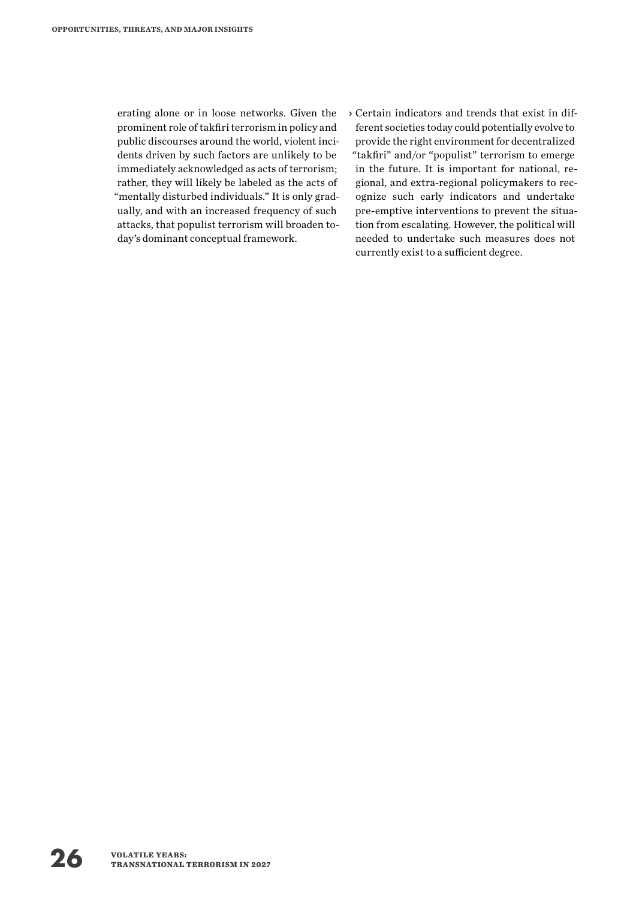erating alone or in loose networks. Given the prominent role of takfiri terrorism in policy and public discourses around the world, violent incidents driven by such factors are unlikely to be immediately acknowledged as acts of terrorism; rather, they will likely be labeled as the acts of "mentally disturbed individuals." It is only gradually, and with an increased frequency of such attacks, that populist terrorism will broaden today's dominant conceptual framework.

› Certain indicators and trends that exist in different societies today could potentially evolve to provide the right environment for decentralized "takfiri" and/or "populist" terrorism to emerge in the future. It is important for national, regional, and extra-regional policymakers to recognize such early indicators and undertake pre-emptive interventions to prevent the situation from escalating. However, the political will needed to undertake such measures does not currently exist to a sufficient degree.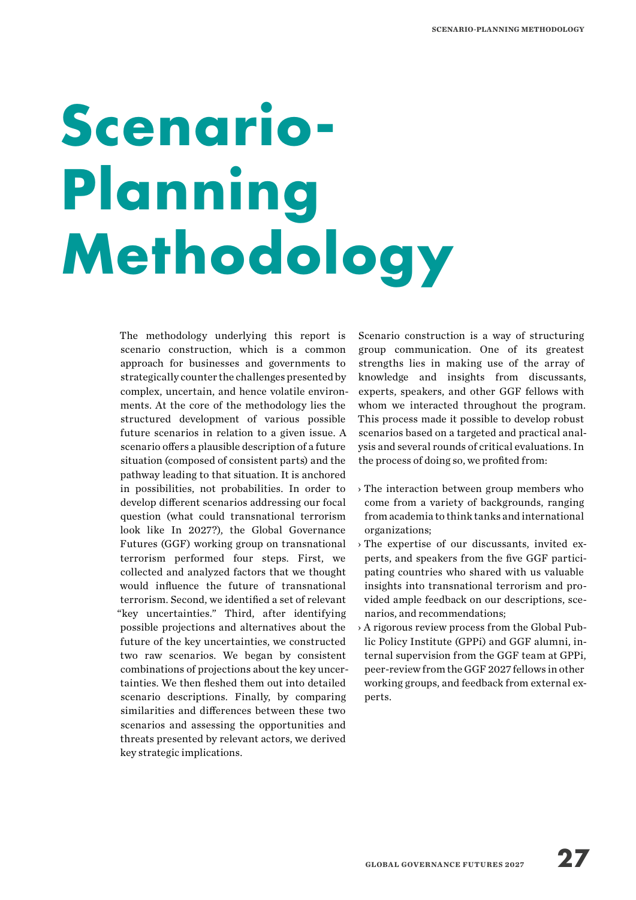# **Scenario-Planning Methodology**

The methodology underlying this report is scenario construction, which is a common approach for businesses and governments to strategically counter the challenges presented by complex, uncertain, and hence volatile environments. At the core of the methodology lies the structured development of various possible future scenarios in relation to a given issue. A scenario offers a plausible description of a future situation (composed of consistent parts) and the pathway leading to that situation. It is anchored in possibilities, not probabilities. In order to develop different scenarios addressing our focal question (what could transnational terrorism look like In 2027?), the Global Governance Futures (GGF) working group on transnational terrorism performed four steps. First, we collected and analyzed factors that we thought would influence the future of transnational terrorism. Second, we identified a set of relevant "key uncertainties." Third, after identifying possible projections and alternatives about the future of the key uncertainties, we constructed two raw scenarios. We began by consistent combinations of projections about the key uncertainties. We then fleshed them out into detailed scenario descriptions. Finally, by comparing similarities and differences between these two scenarios and assessing the opportunities and threats presented by relevant actors, we derived key strategic implications.

Scenario construction is a way of structuring group communication. One of its greatest strengths lies in making use of the array of knowledge and insights from discussants, experts, speakers, and other GGF fellows with whom we interacted throughout the program. This process made it possible to develop robust scenarios based on a targeted and practical analysis and several rounds of critical evaluations. In the process of doing so, we profited from:

- › The interaction between group members who come from a variety of backgrounds, ranging from academia to think tanks and international organizations;
- › The expertise of our discussants, invited experts, and speakers from the five GGF participating countries who shared with us valuable insights into transnational terrorism and provided ample feedback on our descriptions, scenarios, and recommendations;
- › A rigorous review process from the Global Public Policy Institute (GPPi) and GGF alumni, internal supervision from the GGF team at GPPi, peer-review from the GGF 2027 fellows in other working groups, and feedback from external experts.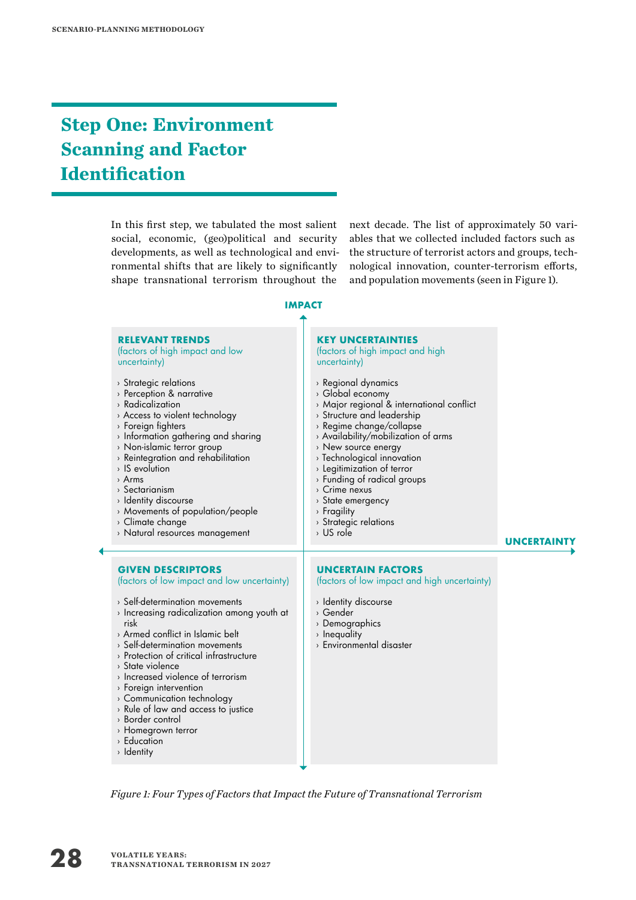## **Step One: Environment Scanning and Factor Identification**

In this first step, we tabulated the most salient social, economic, (geo)political and security developments, as well as technological and environmental shifts that are likely to significantly shape transnational terrorism throughout the

next decade. The list of approximately 50 variables that we collected included factors such as the structure of terrorist actors and groups, technological innovation, counter-terrorism efforts, and population movements (seen in Figure 1).

**IMPACT**



*Figure 1: Four Types of Factors that Impact the Future of Transnational Terrorism*

› Rule of law and access to justice

› Border control › Homegrown terror › Education › Identity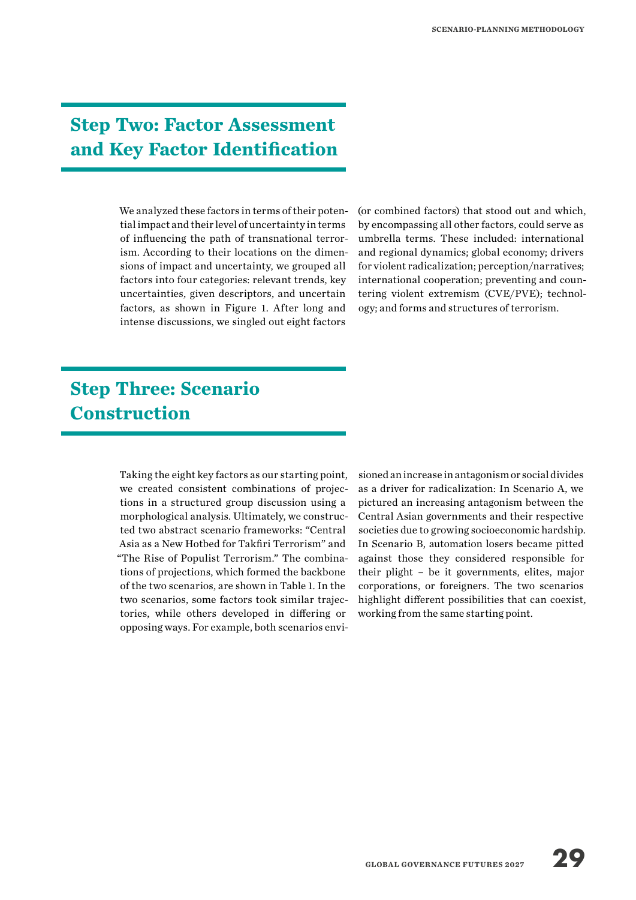### **Step Two: Factor Assessment and Key Factor Identification**

We analyzed these factors in terms of their potential impact and their level of uncertainty in terms of influencing the path of transnational terrorism. According to their locations on the dimensions of impact and uncertainty, we grouped all factors into four categories: relevant trends, key uncertainties, given descriptors, and uncertain factors, as shown in Figure 1. After long and intense discussions, we singled out eight factors

(or combined factors) that stood out and which, by encompassing all other factors, could serve as umbrella terms. These included: international and regional dynamics; global economy; drivers for violent radicalization; perception/narratives; international cooperation; preventing and countering violent extremism (CVE/PVE); technology; and forms and structures of terrorism.

## **Step Three: Scenario Construction**

Taking the eight key factors as our starting point, we created consistent combinations of projections in a structured group discussion using a morphological analysis. Ultimately, we constructed two abstract scenario frameworks: "Central Asia as a New Hotbed for Takfiri Terrorism" and "The Rise of Populist Terrorism." The combinations of projections, which formed the backbone of the two scenarios, are shown in Table 1. In the two scenarios, some factors took similar trajectories, while others developed in differing or opposing ways. For example, both scenarios envisioned an increase in antagonism or social divides as a driver for radicalization: In Scenario A, we pictured an increasing antagonism between the Central Asian governments and their respective societies due to growing socioeconomic hardship. In Scenario B, automation losers became pitted against those they considered responsible for their plight – be it governments, elites, major corporations, or foreigners. The two scenarios highlight different possibilities that can coexist, working from the same starting point.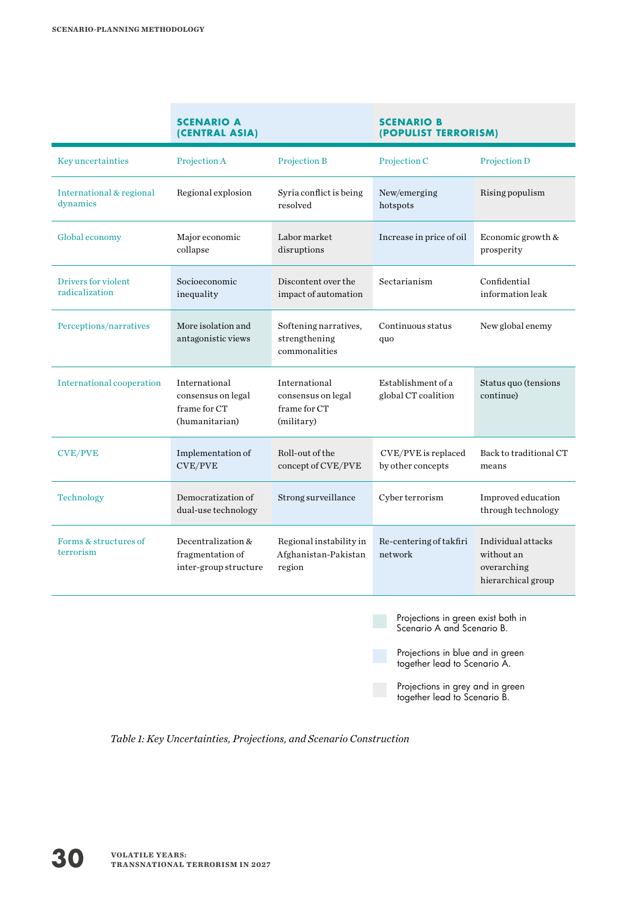|                                       | <b>SCENARIO A</b><br>(CENTRAL ASIA)                                   |                                                                   | <b>SCENARIO B</b><br>(POPULIST TERRORISM) |                                                                       |
|---------------------------------------|-----------------------------------------------------------------------|-------------------------------------------------------------------|-------------------------------------------|-----------------------------------------------------------------------|
| <b>Key uncertainties</b>              | Projection A                                                          | Projection B                                                      | Projection C                              | Projection D                                                          |
| International & regional<br>dynamics  | Regional explosion                                                    | Syria conflict is being<br>resolved                               | New/emerging<br>hotspots                  | Rising populism                                                       |
| Global economy                        | Major economic<br>collapse                                            | Labor market<br>disruptions                                       | Increase in price of oil                  | Economic growth &<br>prosperity                                       |
| Drivers for violent<br>radicalization | Socioeconomic<br>inequality                                           | Discontent over the<br>impact of automation                       | Sectarianism                              | Confidential<br>information leak                                      |
| Perceptions/narratives                | More isolation and<br>antagonistic views                              | Softening narratives,<br>strengthening<br>commonalities           | Continuous status<br>quo                  | New global enemy                                                      |
| <b>International cooperation</b>      | International<br>consensus on legal<br>frame for CT<br>(humanitarian) | International<br>consensus on legal<br>frame for CT<br>(military) | Establishment of a<br>global CT coalition | Status quo (tensions<br>continue)                                     |
| <b>CVE/PVE</b>                        | Implementation of<br>CVE/PVE                                          | Roll-out of the<br>concept of CVE/PVE                             | CVE/PVE is replaced<br>by other concepts  | Back to traditional CT<br>means                                       |
| Technology                            | Democratization of<br>dual-use technology                             | Strong surveillance                                               | Cyber terrorism                           | Improved education<br>through technology                              |
| Forms & structures of<br>terrorism    | Decentralization &<br>fragmentation of<br>inter-group structure       | Regional instability in<br>Afghanistan-Pakistan<br>region         | Re-centering of takfiri<br>network        | Individual attacks<br>without an<br>overarching<br>hierarchical group |

Projections in green exist both in Scenario A and Scenario B.

Projections in blue and in green together lead to Scenario A.

Projections in grey and in green together lead to Scenario B.

*Table 1: Key Uncertainties, Projections, and Scenario Construction*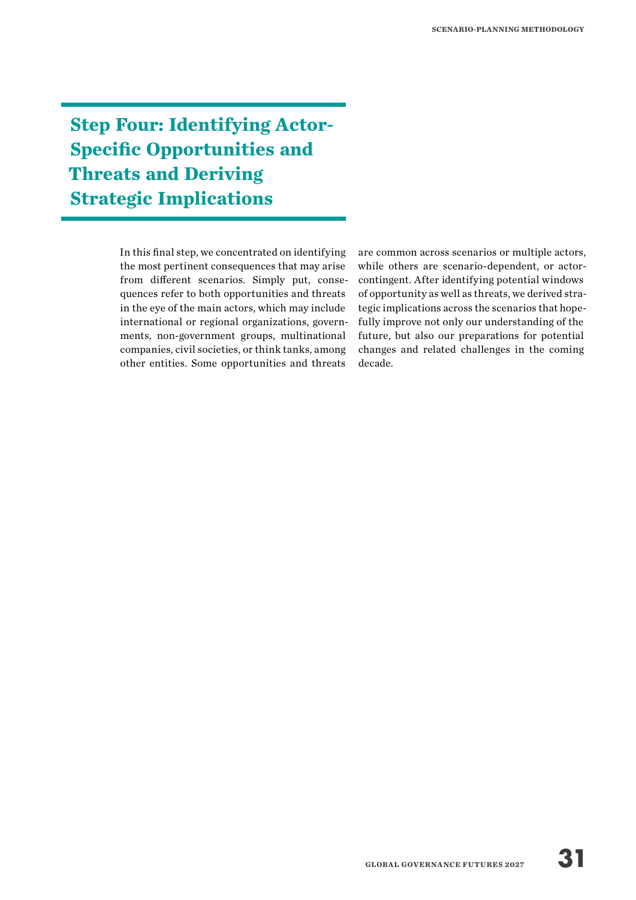**Step Four: Identifying Actor-Specific Opportunities and Threats and Deriving Strategic Implications**

> In this final step, we concentrated on identifying the most pertinent consequences that may arise from different scenarios. Simply put, consequences refer to both opportunities and threats in the eye of the main actors, which may include international or regional organizations, governments, non-government groups, multinational companies, civil societies, or think tanks, among other entities. Some opportunities and threats

are common across scenarios or multiple actors, while others are scenario-dependent, or actorcontingent. After identifying potential windows of opportunity as well as threats, we derived strategic implications across the scenarios that hopefully improve not only our understanding of the future, but also our preparations for potential changes and related challenges in the coming decade.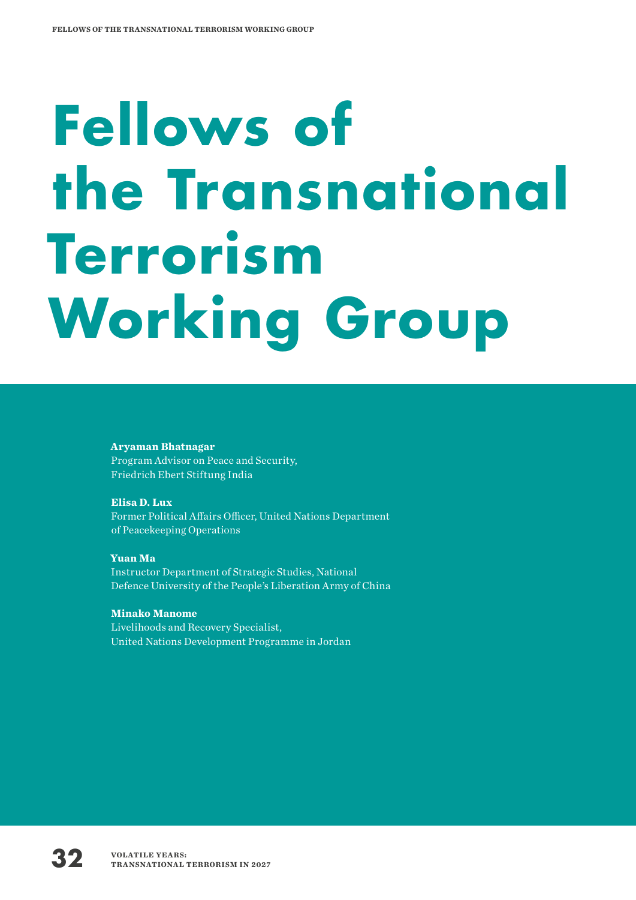# **Fellows of the Transnational Terrorism Working Group**

#### **Aryaman Bhatnagar** Program Advisor on Peace and Security, Friedrich Ebert Stiftung India

**Elisa D. Lux** Former Political Affairs Officer, United Nations Department of Peacekeeping Operations

**Yuan Ma** Instructor Department of Strategic Studies, National Defence University of the People's Liberation Army of China

**Minako Manome** Livelihoods and Recovery Specialist, United Nations Development Programme in Jordan